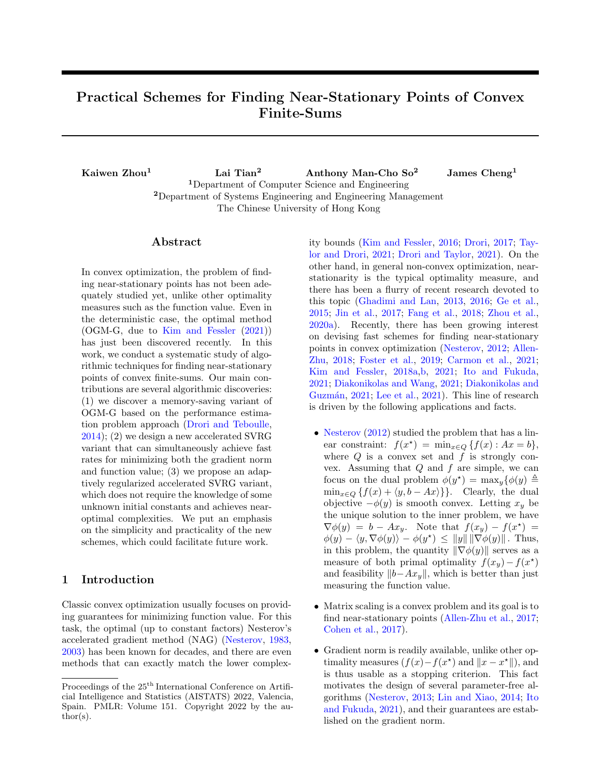# Practical Schemes for Finding Near-Stationary Points of Convex Finite-Sums

Kaiwen Zhou<sup>1</sup> Lai Tian<sup>2</sup> Anthony Man-Cho So<sup>2</sup> James Cheng<sup>1</sup> <sup>1</sup>Department of Computer Science and Engineering <sup>2</sup>Department of Systems Engineering and Engineering Management The Chinese University of Hong Kong

## ${\rm Abstract}$

In convex optimization, the problem of finding near-stationary points has not been adequately studied yet, unlike other optimality measures such as the function value. Even in the deterministic case, the optimal method (OGM-G, due to [Kim and Fessler](#page-9-0) [\(2021\)](#page-9-0)) has just been discovered recently. In this work, we conduct a systematic study of algorithmic techniques for finding near-stationary points of convex finite-sums. Our main contributions are several algorithmic discoveries: (1) we discover a memory-saving variant of OGM-G based on the performance estimation problem approach [\(Drori and Teboulle,](#page-9-1) [2014\)](#page-9-1); (2) we design a new accelerated SVRG variant that can simultaneously achieve fast rates for minimizing both the gradient norm and function value; (3) we propose an adaptively regularized accelerated SVRG variant, which does not require the knowledge of some unknown initial constants and achieves nearoptimal complexities. We put an emphasis on the simplicity and practicality of the new schemes, which could facilitate future work.

# 1 Introduction

Classic convex optimization usually focuses on providing guarantees for minimizing function value. For this task, the optimal (up to constant factors) Nesterov's accelerated gradient method (NAG) [\(Nesterov,](#page-9-2) [1983,](#page-9-2) [2003\)](#page-10-0) has been known for decades, and there are even methods that can exactly match the lower complexity bounds [\(Kim and Fessler,](#page-9-3) [2016;](#page-9-3) [Drori,](#page-9-4) [2017;](#page-9-4) [Tay](#page-10-1)[lor and Drori,](#page-10-1) [2021;](#page-10-1) [Drori and Taylor,](#page-9-5) [2021\)](#page-9-5). On the other hand, in general non-convex optimization, nearstationarity is the typical optimality measure, and there has been a flurry of recent research devoted to this topic [\(Ghadimi and Lan,](#page-9-6) [2013,](#page-9-6) [2016;](#page-9-7) [Ge et al.,](#page-9-8) [2015;](#page-9-8) [Jin et al.,](#page-9-9) [2017;](#page-9-9) [Fang et al.,](#page-9-10) [2018;](#page-9-10) [Zhou et al.,](#page-10-2) [2020a\)](#page-10-2). Recently, there has been growing interest on devising fast schemes for finding near-stationary points in convex optimization [\(Nesterov,](#page-10-3) [2012;](#page-10-3) [Allen-](#page-8-0)[Zhu,](#page-8-0) [2018;](#page-8-0) [Foster et al.,](#page-9-11) [2019;](#page-9-11) [Carmon et al.,](#page-8-1) [2021;](#page-8-1) [Kim and Fessler,](#page-9-12) [2018a,](#page-9-12)[b,](#page-9-13) [2021;](#page-9-0) [Ito and Fukuda,](#page-9-14) [2021;](#page-9-14) [Diakonikolas and Wang,](#page-8-2) [2021;](#page-8-2) [Diakonikolas and](#page-8-3) Guzmán, [2021;](#page-8-3) [Lee et al.,](#page-9-15) [2021\)](#page-9-15). This line of research is driven by the following applications and facts.

- [Nesterov](#page-10-3) [\(2012\)](#page-10-3) studied the problem that has a linear constraint:  $f(x^*) = \min_{x \in Q} \{f(x) : Ax = b\},\$ where  $Q$  is a convex set and  $f$  is strongly convex. Assuming that  $Q$  and  $f$  are simple, we can focus on the dual problem  $\phi(y^*) = \max_y {\phi(y)} \triangleq$  $\min_{x \in Q} \{f(x) + \langle y, b - Ax \rangle\}$ . Clearly, the dual objective  $-\phi(y)$  is smooth convex. Letting  $x_y$  be the unique solution to the inner problem, we have  $\nabla \phi(y) = b - Ax_y$ . Note that  $f(x_y) - f(x^*) =$  $\phi(y) - \langle y, \nabla \phi(y) \rangle - \phi(y^{\star}) \leq ||y|| ||\nabla \phi(y)||$ . Thus, in this problem, the quantity  $\|\nabla \phi(y)\|$  serves as a measure of both primal optimality  $f(x_y) - f(x^*)$ and feasibility  $||b-Ax_y||$ , which is better than just measuring the function value.
- Matrix scaling is a convex problem and its goal is to find near-stationary points [\(Allen-Zhu et al.,](#page-8-4) [2017;](#page-8-4) [Cohen et al.,](#page-8-5) [2017\)](#page-8-5).
- Gradient norm is readily available, unlike other optimality measures  $(f(x) - f(x^*)$  and  $||x - x^*||$ , and is thus usable as a stopping criterion. This fact motivates the design of several parameter-free algorithms [\(Nesterov,](#page-10-4) [2013;](#page-10-4) [Lin and Xiao,](#page-9-16) [2014;](#page-9-16) [Ito](#page-9-14) [and Fukuda,](#page-9-14) [2021\)](#page-9-14), and their guarantees are established on the gradient norm.

Proceedings of the  $25^{\mathrm{th}}$  International Conference on Artificial Intelligence and Statistics (AISTATS) 2022, Valencia, Spain. PMLR: Volume 151. Copyright 2022 by the au- $\text{thor}(s)$ .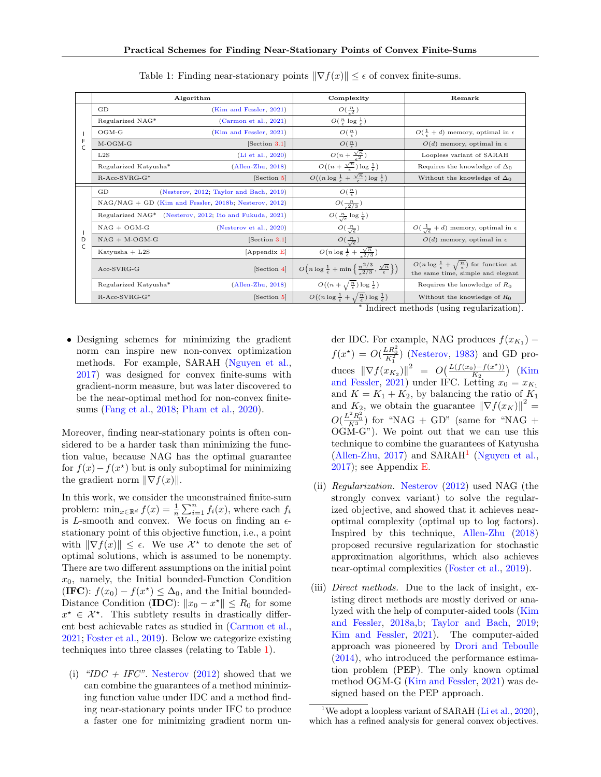<span id="page-1-0"></span>

|         |                       | Algorithm                                                           | Complexity                                                                                                     | Remark                                                                                                          |
|---------|-----------------------|---------------------------------------------------------------------|----------------------------------------------------------------------------------------------------------------|-----------------------------------------------------------------------------------------------------------------|
| F<br>C  | GD                    | (Kim and Fessler, 2021)                                             | $O(\frac{n}{2})$                                                                                               |                                                                                                                 |
|         | Regularized NAG*      | (Carmon et al., 2021)                                               | $O(\frac{n}{\epsilon} \log \frac{1}{\epsilon})$                                                                |                                                                                                                 |
|         | $OGM-G$               | (Kim and Fessler, 2021)                                             | $O(\frac{n}{\epsilon})$                                                                                        | $O(\frac{1}{\epsilon}+d)$ memory, optimal in $\epsilon$                                                         |
|         | $M-OGM-G$             | [Section 3.1]                                                       | $O(\frac{n}{\epsilon})$                                                                                        | $O(d)$ memory, optimal in $\epsilon$                                                                            |
|         | L2S                   | (Li et al., 2020)                                                   | $O(n+\frac{\sqrt{n}}{\epsilon^2})$                                                                             | Loopless variant of SARAH                                                                                       |
|         | Regularized Katyusha* | $(Allen-Zhu, 2018)$                                                 | $O((n+\frac{\sqrt{n}}{2})\log\frac{1}{2})$                                                                     | Requires the knowledge of $\Delta_0$                                                                            |
|         | $R$ -Acc-SVRG-G*      | [Section 5]                                                         | $O((n \log \frac{1}{\epsilon} + \frac{\sqrt{n}}{\epsilon}) \log \frac{1}{\epsilon})$                           | Without the knowledge of $\Delta_0$                                                                             |
| D<br>C. | GD                    | (Nesterov, 2012; Taylor and Bach, 2019)                             | $O(\frac{n}{\epsilon})$                                                                                        |                                                                                                                 |
|         |                       | $NAG/NAG + GD$ (Kim and Fessler, 2018b; Nesterov, 2012)             | $O(\frac{n}{\epsilon^2/3})$                                                                                    |                                                                                                                 |
|         |                       | Regularized NAG <sup>*</sup> (Nesterov, 2012; Ito and Fukuda, 2021) | $O(\frac{n}{\sqrt{\epsilon}}\log \frac{1}{\epsilon})$                                                          |                                                                                                                 |
|         | $NAG + OGM-G$         | (Nesterov et al., $2020$ )                                          | $O(\frac{n}{\sqrt{\epsilon}})$                                                                                 | $O(\frac{1}{\sqrt{\epsilon}}+d)$ memory, optimal in $\epsilon$                                                  |
|         | $NAG + M-OGM-G$       | [Section 3.1]                                                       | $O(\frac{n}{\sqrt{\epsilon}})$                                                                                 | $O(d)$ memory, optimal in $\epsilon$                                                                            |
|         | Katyusha $+$ L2S      | [Appendix E]                                                        | $O(n \log \frac{1}{\epsilon} + \frac{\sqrt{n}}{2/3})$                                                          |                                                                                                                 |
|         | $Acc-SVRG-G$          | [Section 4]                                                         | $O\left(n \log \frac{1}{\epsilon} + \min \left\{\frac{n^{2}/3}{2/3}, \frac{\sqrt{n}}{\epsilon}\right\}\right)$ | $O(n \log \frac{1}{\epsilon} + \sqrt{\frac{n}{\epsilon}})$ for function at<br>the same time, simple and elegant |
|         | Regularized Katyusha* | $(Allen-Zhu, 2018)$                                                 | $O((n+\sqrt{\frac{n}{\epsilon}})\log \frac{1}{\epsilon})$                                                      | Requires the knowledge of $R_0$                                                                                 |
|         | $R$ -Acc-SVRG-G*      | [Section 5]                                                         | $O((n \log \frac{1}{\epsilon} + \sqrt{\frac{n}{\epsilon}}) \log \frac{1}{\epsilon})$                           | Without the knowledge of $R_0$                                                                                  |

Table 1: Finding near-stationary points  $\|\nabla f(x)\| \leq \epsilon$  of convex finite-sums.

• Designing schemes for minimizing the gradient norm can inspire new non-convex optimization methods. For example, SARAH [\(Nguyen et al.,](#page-10-7) [2017\)](#page-10-7) was designed for convex finite-sums with gradient-norm measure, but was later discovered to be the near-optimal method for non-convex finitesums [\(Fang et al.,](#page-9-10) [2018;](#page-9-10) [Pham et al.,](#page-10-8) [2020\)](#page-10-8).

Moreover, finding near-stationary points is often considered to be a harder task than minimizing the function value, because NAG has the optimal guarantee for  $f(x) - f(x^*)$  but is only suboptimal for minimizing the gradient norm  $\|\nabla f(x)\|$ .

In this work, we consider the unconstrained finite-sum problem:  $\min_{x \in \mathbb{R}^d} f(x) = \frac{1}{n} \sum_{i=1}^n f_i(x)$ , where each  $f_i$ is L-smooth and convex. We focus on finding an  $\epsilon$ stationary point of this objective function, i.e., a point with  $\|\nabla f(x)\| \leq \epsilon$ . We use  $\mathcal{X}^*$  to denote the set of optimal solutions, which is assumed to be nonempty. There are two different assumptions on the initial point  $x_0$ , namely, the Initial bounded-Function Condition (IFC):  $f(x_0) - f(x^*) \leq \Delta_0$ , and the Initial bounded-Distance Condition (IDC):  $||x_0 - x^*|| \le R_0$  for some  $x^* \in \mathcal{X}^*$ . This subtlety results in drastically different best achievable rates as studied in [\(Carmon et al.,](#page-8-1) [2021;](#page-8-1) [Foster et al.,](#page-9-11) [2019\)](#page-9-11). Below we categorize existing techniques into three classes (relating to Table [1\)](#page-1-0).

(i) " $IDC + IFC$ ". [Nesterov](#page-10-3) [\(2012\)](#page-10-3) showed that we can combine the guarantees of a method minimizing function value under IDC and a method finding near-stationary points under IFC to produce a faster one for minimizing gradient norm un∗ Indirect methods (using regularization).

der IDC. For example, NAG produces  $f(x_{K_1})$  –  $f(x^*) = O(\frac{LR_0^2}{K_1^2})$  [\(Nesterov,](#page-9-2) [1983\)](#page-9-2) and GD produces  $\|\nabla f(x_{K_2})\|^2 = O\left(\frac{L(f(x_0) - f(x^*))}{K_2}\right)$  $\frac{N(x^{k})-f(x^{k})}{K_{2}}$  [\(Kim](#page-9-0) [and Fessler,](#page-9-0) [2021\)](#page-9-0) under IFC. Letting  $x_0 = x_{K_1}$ and  $K = K_1 + K_2$ , by balancing the ratio of  $K_1$ and  $K_2$ , we obtain the guarantee  $\|\nabla f(x_K)\|^2 =$  $O(\frac{L^2 R_0^2}{K^3})$  for "NAG + GD" (same for "NAG + OGM-G"). We point out that we can use this technique to combine the guarantees of Katyusha  $($ Allen-Zhu, [2017\)](#page-8-6) and SARAH<sup>[1](#page-1-1)</sup> [\(Nguyen et al.,](#page-10-7) [2017\)](#page-10-7); see Appendix [E.](#page-24-0)

- (ii) Regularization. [Nesterov](#page-10-3) [\(2012\)](#page-10-3) used NAG (the strongly convex variant) to solve the regularized objective, and showed that it achieves nearoptimal complexity (optimal up to log factors). Inspired by this technique, [Allen-Zhu](#page-8-0) [\(2018\)](#page-8-0) proposed recursive regularization for stochastic approximation algorithms, which also achieves near-optimal complexities [\(Foster et al.,](#page-9-11) [2019\)](#page-9-11).
- (iii) Direct methods. Due to the lack of insight, existing direct methods are mostly derived or analyzed with the help of computer-aided tools [\(Kim](#page-9-12) [and Fessler,](#page-9-12) [2018a,](#page-9-12)[b;](#page-9-13) [Taylor and Bach,](#page-10-5) [2019;](#page-10-5) [Kim and Fessler,](#page-9-0) [2021\)](#page-9-0). The computer-aided approach was pioneered by [Drori and Teboulle](#page-9-1) [\(2014\)](#page-9-1), who introduced the performance estimation problem (PEP). The only known optimal method OGM-G [\(Kim and Fessler,](#page-9-0) [2021\)](#page-9-0) was designed based on the PEP approach.

<span id="page-1-1"></span><sup>&</sup>lt;sup>1</sup>We adopt a loopless variant of SARAH [\(Li et al.,](#page-9-17) [2020\)](#page-9-17), which has a refined analysis for general convex objectives.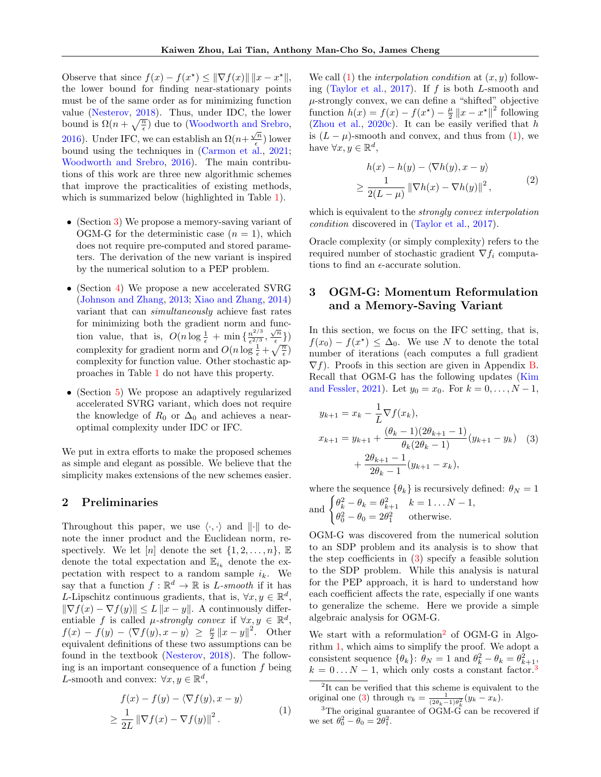Observe that since  $f(x) - f(x^*) \leq ||\nabla f(x)|| \, ||x - x^*||,$ the lower bound for finding near-stationary points must be of the same order as for minimizing function value [\(Nesterov,](#page-10-9) [2018\)](#page-10-9). Thus, under IDC, the lower bound is  $\Omega(n+\sqrt{\frac{n}{\epsilon}})$  due to [\(Woodworth and Srebro,](#page-10-10) [2016\)](#page-10-10). Under IFC, we can establish an  $\Omega(n+\frac{\sqrt{n}}{2})$  $\frac{\sqrt{n}}{\epsilon}$ ) lower bound using the techniques in [\(Carmon et al.,](#page-8-1) [2021;](#page-8-1) [Woodworth and Srebro,](#page-10-10) [2016\)](#page-10-10). The main contributions of this work are three new algorithmic schemes that improve the practicalities of existing methods, which is summarized below (highlighted in Table [1\)](#page-1-0).

- (Section [3\)](#page-2-0) We propose a memory-saving variant of OGM-G for the deterministic case  $(n = 1)$ , which does not require pre-computed and stored parameters. The derivation of the new variant is inspired by the numerical solution to a PEP problem.
- (Section [4\)](#page-4-0) We propose a new accelerated SVRG [\(Johnson and Zhang,](#page-9-18) [2013;](#page-9-18) [Xiao and Zhang,](#page-10-11) [2014\)](#page-10-11) variant that can simultaneously achieve fast rates for minimizing both the gradient norm and function value, that is,  $O(n \log \frac{1}{\epsilon} + \min \{ \frac{n^{2/3}}{\epsilon^{2/3}} \}$  $\frac{n^{2/3}}{\epsilon^{2/3}}, \frac{\sqrt{n}}{\epsilon}$  $\frac{\binom{n}{e}}{2}$ complexity for gradient norm and  $O(n \log \frac{1}{\epsilon} + \sqrt{\frac{n}{\epsilon}})$ complexity for function value. Other stochastic approaches in Table [1](#page-1-0) do not have this property.
- (Section [5\)](#page-6-0) We propose an adaptively regularized accelerated SVRG variant, which does not require the knowledge of  $R_0$  or  $\Delta_0$  and achieves a nearoptimal complexity under IDC or IFC.

We put in extra efforts to make the proposed schemes as simple and elegant as possible. We believe that the simplicity makes extensions of the new schemes easier.

## 2 Preliminaries

Throughout this paper, we use  $\langle \cdot, \cdot \rangle$  and  $\| \cdot \|$  to denote the inner product and the Euclidean norm, respectively. We let [n] denote the set  $\{1, 2, \ldots, n\}$ ,  $\mathbb E$ denote the total expectation and  $\mathbb{E}_{i_k}$  denote the expectation with respect to a random sample  $i_k$ . We say that a function  $f : \mathbb{R}^d \to \mathbb{R}$  is *L*-smooth if it has L-Lipschitz continuous gradients, that is,  $\forall x, y \in \mathbb{R}^d$ ,  $\|\nabla f(x) - \nabla f(y)\| \leq L \|x - y\|$ . A continuously differentiable f is called  $\mu$ -strongly convex if  $\forall x, y \in \mathbb{R}^d$ ,  $f(x) - f(y) - \langle \nabla f(y), x - y \rangle \ge \frac{\mu}{2} ||x - y||^2$ . Other equivalent definitions of these two assumptions can be found in the textbook [\(Nesterov,](#page-10-9) [2018\)](#page-10-9). The following is an important consequence of a function  $f$  being L-smooth and convex:  $\forall x, y \in \mathbb{R}^d$ ,

<span id="page-2-1"></span>
$$
f(x) - f(y) - \langle \nabla f(y), x - y \rangle
$$
  
\n
$$
\geq \frac{1}{2L} \|\nabla f(x) - \nabla f(y)\|^2.
$$
 (1)

We call  $(1)$  the *interpolation condition* at  $(x, y)$  follow-ing [\(Taylor et al.,](#page-10-12) [2017\)](#page-10-12). If  $f$  is both  $L$ -smooth and  $\mu$ -strongly convex, we can define a "shifted" objective function  $h(x) = f(x) - f(x^*) - \frac{\mu}{2} ||x - x^*||^2$  following [\(Zhou et al.,](#page-10-13)  $2020c$ ). It can be easily verified that h is  $(L - \mu)$ -smooth and convex, and thus from [\(1\)](#page-2-1), we have  $\forall x, y \in \mathbb{R}^d$ ,

<span id="page-2-5"></span>
$$
h(x) - h(y) - \langle \nabla h(y), x - y \rangle
$$
  
 
$$
\geq \frac{1}{2(L - \mu)} ||\nabla h(x) - \nabla h(y)||^2,
$$
 (2)

which is equivalent to the *strongly convex interpolation* condition discovered in [\(Taylor et al.,](#page-10-12) [2017\)](#page-10-12).

Oracle complexity (or simply complexity) refers to the required number of stochastic gradient  $\nabla f_i$  computations to find an  $\epsilon$ -accurate solution.

# <span id="page-2-0"></span>3 OGM-G: Momentum Reformulation and a Memory-Saving Variant

In this section, we focus on the IFC setting, that is,  $f(x_0) - f(x^*) \leq \Delta_0$ . We use N to denote the total number of iterations (each computes a full gradient  $\nabla f$ ). Proofs in this section are given in Appendix [B.](#page-12-0) Recall that OGM-G has the following updates [\(Kim](#page-9-0) [and Fessler,](#page-9-0) [2021\)](#page-9-0). Let  $y_0 = x_0$ . For  $k = 0, ..., N - 1$ ,

<span id="page-2-2"></span>
$$
y_{k+1} = x_k - \frac{1}{L} \nabla f(x_k),
$$
  
\n
$$
x_{k+1} = y_{k+1} + \frac{(\theta_k - 1)(2\theta_{k+1} - 1)}{\theta_k (2\theta_k - 1)} (y_{k+1} - y_k)
$$
 (3)  
\n
$$
+ \frac{2\theta_{k+1} - 1}{2\theta_k - 1} (y_{k+1} - x_k),
$$

where the sequence  $\{\theta_k\}$  is recursively defined:  $\theta_N = 1$ 

and 
$$
\begin{cases} \theta_k^2 - \theta_k = \theta_{k+1}^2 & k = 1 \dots N - 1, \\ \theta_0^2 - \theta_0 = 2\theta_1^2 & \text{otherwise.} \end{cases}
$$

OGM-G was discovered from the numerical solution to an SDP problem and its analysis is to show that the step coefficients in [\(3\)](#page-2-2) specify a feasible solution to the SDP problem. While this analysis is natural for the PEP approach, it is hard to understand how each coefficient affects the rate, especially if one wants to generalize the scheme. Here we provide a simple algebraic analysis for OGM-G.

We start with a reformulation<sup>[2](#page-2-3)</sup> of OGM-G in Algorithm [1,](#page-3-1) which aims to simplify the proof. We adopt a consistent sequence  $\{\theta_k\}$ :  $\theta_N = 1$  and  $\theta_k^2 - \theta_k = \theta_{k+1}^2$ ,  $k = 0 \dots N - 1$ , which only costs a constant factor.<sup>[3](#page-2-4)</sup>

<span id="page-2-3"></span><sup>&</sup>lt;sup>2</sup>It can be verified that this scheme is equivalent to the original one [\(3\)](#page-2-2) through  $v_k = \frac{1}{(2\theta_k - 1)\theta_k^2} (y_k - x_k)$ .

<span id="page-2-4"></span><sup>&</sup>lt;sup>3</sup>The original guarantee of OGM- $\tilde{G}$  can be recovered if we set  $\theta_0^2 - \theta_0 = 2\theta_1^2$ .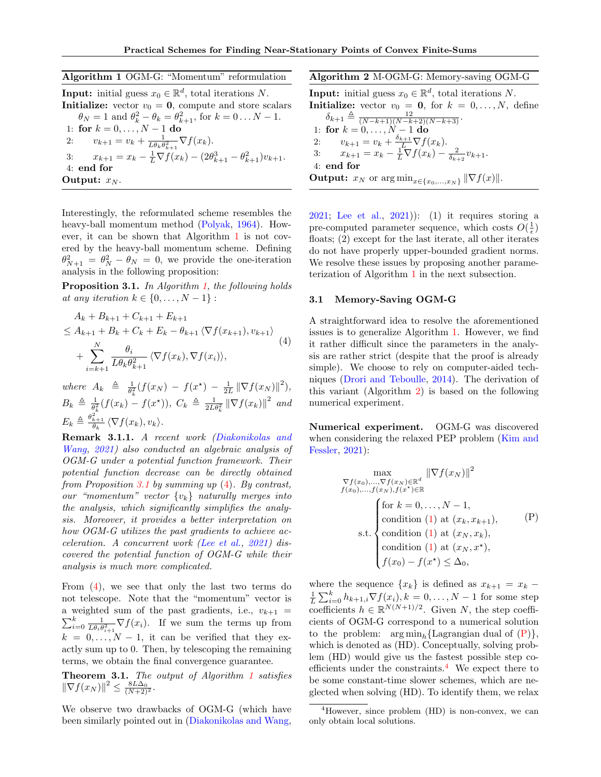<span id="page-3-1"></span>

| Algorithm 1 OGM-G: "Momentum" reformulation                                                 |
|---------------------------------------------------------------------------------------------|
| <b>Input:</b> initial guess $x_0 \in \mathbb{R}^d$ , total iterations N.                    |
| <b>Initialize:</b> vector $v_0 = 0$ , compute and store scalars                             |
| $\theta_N = 1$ and $\theta_k^2 - \theta_k = \theta_{k+1}^2$ , for $k = 0N - 1$ .            |
| 1: for $k = 0, , N - 1$ do                                                                  |
| $v_{k+1} = v_k + \frac{1}{L\theta_k\theta_{k+1}^2} \nabla f(x_k).$<br>2:                    |
| 3: $x_{k+1} = x_k - \frac{1}{L} \nabla f(x_k) - (2\theta_{k+1}^3 - \theta_{k+1}^2)v_{k+1}.$ |
| $4:$ end for                                                                                |
| Output: $x_N$ .                                                                             |

Interestingly, the reformulated scheme resembles the heavy-ball momentum method [\(Polyak,](#page-10-14) [1964\)](#page-10-14). However, it can be shown that Algorithm [1](#page-3-1) is not covered by the heavy-ball momentum scheme. Defining  $\theta_{N+1}^2 = \theta_N^2 - \theta_N = 0$ , we provide the one-iteration analysis in the following proposition:

<span id="page-3-2"></span>Proposition 3.1. In Algorithm [1,](#page-3-1) the following holds at any iteration  $k \in \{0, \ldots, N-1\}$ :

<span id="page-3-3"></span>
$$
A_k + B_{k+1} + C_{k+1} + E_{k+1}
$$
  
\n
$$
\leq A_{k+1} + B_k + C_k + E_k - \theta_{k+1} \langle \nabla f(x_{k+1}), v_{k+1} \rangle
$$
  
\n
$$
+ \sum_{i=k+1}^N \frac{\theta_i}{L\theta_k \theta_{k+1}^2} \langle \nabla f(x_k), \nabla f(x_i) \rangle,
$$
\n(4)

where  $A_k \triangleq \frac{1}{\theta_k^2} (f(x_N) - f(x^*) - \frac{1}{2L} \|\nabla f(x_N)\|^2),$  $B_k \triangleq \frac{1}{\theta_k^2} (f(x_k) - f(x^{\star})), C_k \triangleq \frac{1}{2L\theta_k^2} ||\nabla f(x_k)||^2$  and  $E_k \triangleq \frac{\theta_{k+1}^2}{\theta_k} \langle \nabla f(x_k), v_k \rangle.$ 

Remark 3.1.1. A recent work [\(Diakonikolas and](#page-8-2) [Wang,](#page-8-2) [2021\)](#page-8-2) also conducted an algebraic analysis of OGM-G under a potential function framework. Their potential function decrease can be directly obtained from Proposition [3.1](#page-3-2) by summing up  $(4)$ . By contrast, our "momentum" vector  $\{v_k\}$  naturally merges into the analysis, which significantly simplifies the analysis. Moreover, it provides a better interpretation on how OGM-G utilizes the past gradients to achieve acceleration. A concurrent work [\(Lee et al.,](#page-9-15) [2021\)](#page-9-15) discovered the potential function of OGM-G while their analysis is much more complicated.

From [\(4\)](#page-3-3), we see that only the last two terms do not telescope. Note that the "momentum" vector is a weighted sum of the past gradients, i.e.,  $v_{k+1}$  =  $\sum_{i=0}^k \frac{1}{L\theta_i \theta_{i+1}^2} \nabla f(x_i)$ . If we sum the terms up from  $k = 0, \ldots, N - 1$ , it can be verified that they exactly sum up to 0. Then, by telescoping the remaining terms, we obtain the final convergence guarantee.

<span id="page-3-8"></span>Theorem 3.[1](#page-3-1). The output of Algorithm 1 satisfies  $\|\nabla f(x_N)\|^2 \leq \frac{8L\Delta_0}{(N+2)^2}.$ 

We observe two drawbacks of OGM-G (which have been similarly pointed out in [\(Diakonikolas and Wang,](#page-8-2)

<span id="page-3-4"></span>Algorithm 2 M-OGM-G: Memory-saving OGM-G

**Input:** initial guess  $x_0 \in \mathbb{R}^d$ , total iterations N. **Initialize:** vector  $v_0 = 0$ , for  $k = 0, ..., N$ , define  $\delta_{k+1} \triangleq \frac{12}{(N-k+1)(N-k+2)(N-k+3)}$ .

1: for  $k = 0, ..., N - 1$  do 2:  $v_{k+1} = v_k + \frac{\delta_{k+1}}{L} \nabla f(x_k).$ 3:  $x_{k+1} = x_k - \frac{1}{L}\nabla f(x_k) - \frac{2}{\delta_{k+2}}v_{k+1}.$ 4: end for **Output:**  $x_N$  or  $\arg \min_{x \in \{x_0, ..., x_N\}} || \nabla f(x) ||.$ 

[2021;](#page-8-2) [Lee et al.,](#page-9-15) [2021\)](#page-9-15)): (1) it requires storing a pre-computed parameter sequence, which costs  $O(\frac{1}{\epsilon})$ floats; (2) except for the last iterate, all other iterates do not have properly upper-bounded gradient norms. We resolve these issues by proposing another parameterization of Algorithm [1](#page-3-1) in the next subsection.

#### <span id="page-3-0"></span>3.1 Memory-Saving OGM-G

A straightforward idea to resolve the aforementioned issues is to generalize Algorithm [1.](#page-3-1) However, we find it rather difficult since the parameters in the analysis are rather strict (despite that the proof is already simple). We choose to rely on computer-aided techniques [\(Drori and Teboulle,](#page-9-1) [2014\)](#page-9-1). The derivation of this variant (Algorithm [2\)](#page-3-4) is based on the following numerical experiment.

Numerical experiment. OGM-G was discovered when considering the relaxed PEP problem [\(Kim and](#page-9-0) [Fessler,](#page-9-0) [2021\)](#page-9-0):

<span id="page-3-7"></span><span id="page-3-5"></span>
$$
\max_{\nabla f(x_0), \dots, \nabla f(x_N) \in \mathbb{R}^d} \|\nabla f(x_N)\|^2
$$
\n
$$
f(x_0), \dots, f(x_N), f(x^*) \in \mathbb{R}
$$
\nfor  $k = 0, \dots, N - 1$ ,\n  
\ncondition (1) at  $(x_k, x_{k+1})$ ,\n  
\ns.t. condition (1) at  $(x_N, x_k)$ ,\n  
\ncondition (1) at  $(x_N, x^*)$ ,\n
$$
f(x_0) - f(x^*) \leq \Delta_0,
$$

where the sequence  $\{x_k\}$  is defined as  $x_{k+1} = x_k$  –  $\frac{1}{L} \sum_{i=0}^{k} h_{k+1,i} \nabla f(x_i), k = 0, \ldots, N-1$  for some step coefficients  $h \in \mathbb{R}^{N(N+1)/2}$ . Given N, the step coefficients of OGM-G correspond to a numerical solution to the problem:  $\arg \min_{b} {\text{Lagrangian dual of (P)}}$  $\arg \min_{b} {\text{Lagrangian dual of (P)}}$  $\arg \min_{b} {\text{Lagrangian dual of (P)}}$ , which is denoted as (HD). Conceptually, solving problem (HD) would give us the fastest possible step coefficients under the constraints. $4$  We expect there to be some constant-time slower schemes, which are neglected when solving (HD). To identify them, we relax

<span id="page-3-6"></span><sup>4</sup>However, since problem (HD) is non-convex, we can only obtain local solutions.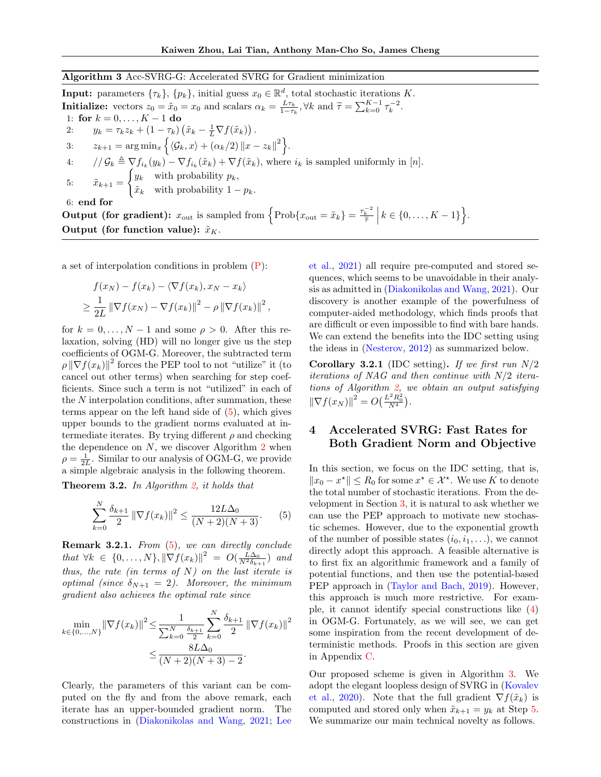<span id="page-4-1"></span>Algorithm 3 Acc-SVRG-G: Accelerated SVRG for Gradient minimization

**Input:** parameters  $\{\tau_k\}, \{p_k\},$  initial guess  $x_0 \in \mathbb{R}^d$ , total stochastic iterations K. **Initialize:** vectors  $z_0 = \tilde{x}_0 = x_0$  and scalars  $\alpha_k = \frac{L\tau_k}{1-\tau_k}$ ,  $\forall k$  and  $\tilde{\tau} = \sum_{k=0}^{K-1} \tau_k^{-2}$ . 1: for  $k = 0, ..., K - 1$  do 2:  $y_k = \tau_k z_k + (1 - \tau_k) \left( \tilde{x}_k - \frac{1}{L} \nabla f(\tilde{x}_k) \right).$ 3:  $z_{k+1} = \arg \min_x \left\{ \langle \mathcal{G}_k, x \rangle + (\alpha_k/2) \| x - z_k \|^2 \right\}.$ 4:  $// \mathcal{G}_k \triangleq \nabla f_{i_k}(y_k) - \nabla f_{i_k}(\tilde{x}_k) + \nabla f(\tilde{x}_k)$ , where  $i_k$  is sampled uniformly in [n]. 5:  $\tilde{x}_{k+1} =$  $\int y_k$  with probability  $p_k$ ,  $\tilde{x}_k$  with probability  $1 - p_k$ . 6: end for **Output (for gradient):**  $x_{\text{out}}$  is sampled from  $\left\{\text{Prob}\{x_{\text{out}} = \tilde{x}_k\} = \frac{\tau_k^{-2}}{\tilde{\tau}}\right\}$  $k \in \{0, \ldots, K-1\}$ .

Output (for function value):  $\tilde{x}_K$ .

a set of interpolation conditions in problem [\(P\)](#page-3-5):

$$
f(x_N) - f(x_k) - \langle \nabla f(x_k), x_N - x_k \rangle
$$
  
\n
$$
\geq \frac{1}{2L} \|\nabla f(x_N) - \nabla f(x_k)\|^2 - \rho \|\nabla f(x_k)\|^2,
$$

for  $k = 0, \ldots, N - 1$  and some  $\rho > 0$ . After this relaxation, solving (HD) will no longer give us the step coefficients of OGM-G. Moreover, the subtracted term  $\rho \left\|\nabla f(x_k)\right\|^2$  forces the PEP tool to not "utilize" it (to cancel out other terms) when searching for step coefficients. Since such a term is not "utilized" in each of the N interpolation conditions, after summation, these terms appear on the left hand side of  $(5)$ , which gives upper bounds to the gradient norms evaluated at intermediate iterates. By trying different  $\rho$  and checking the dependence on  $N$ , we discover Algorithm  $2$  when  $\rho = \frac{1}{2L}$ . Similar to our analysis of OGM-G, we provide a simple algebraic analysis in the following theorem.

<span id="page-4-2"></span>**Theorem 3.2.** In Algorithm [2,](#page-3-4) it holds that

$$
\sum_{k=0}^{N} \frac{\delta_{k+1}}{2} \left\| \nabla f(x_k) \right\|^2 \le \frac{12L\Delta_0}{(N+2)(N+3)}.
$$
 (5)

Remark 3.2.1. From  $(5)$ , we can directly conclude that  $\forall k \in \{0,\ldots,N\}, \|\nabla f(x_k)\|^2 = O(\frac{L\Delta_0}{N^2 \delta_{k+1}})$  and thus, the rate (in terms of  $N$ ) on the last iterate is optimal (since  $\delta_{N+1} = 2$ ). Moreover, the minimum gradient also achieves the optimal rate since

$$
\min_{k \in \{0, ..., N\}} \|\nabla f(x_k)\|^2 \le \frac{1}{\sum_{k=0}^N \frac{\delta_{k+1}}{2}} \sum_{k=0}^N \frac{\delta_{k+1}}{2} \|\nabla f(x_k)\|^2
$$

$$
\le \frac{8L\Delta_0}{(N+2)(N+3)-2}.
$$

Clearly, the parameters of this variant can be computed on the fly and from the above remark, each iterate has an upper-bounded gradient norm. The constructions in [\(Diakonikolas and Wang,](#page-8-2) [2021;](#page-8-2) [Lee](#page-9-15) [et al.,](#page-9-15) [2021\)](#page-9-15) all require pre-computed and stored sequences, which seems to be unavoidable in their analysis as admitted in [\(Diakonikolas and Wang,](#page-8-2) [2021\)](#page-8-2). Our discovery is another example of the powerfulness of computer-aided methodology, which finds proofs that are difficult or even impossible to find with bare hands. We can extend the benefits into the IDC setting using the ideas in [\(Nesterov,](#page-10-3) [2012\)](#page-10-3) as summarized below.

<span id="page-4-3"></span>**Corollary 3.2.1** (IDC setting). If we first run  $N/2$ iterations of NAG and then continue with N/2 iterations of Algorithm [2,](#page-3-4) we obtain an output satisfying  $\|\nabla f(x_N)\|^2 = O\left(\frac{L^2 R_0^2}{N^4}\right).$ 

# <span id="page-4-0"></span>4 Accelerated SVRG: Fast Rates for Both Gradient Norm and Objective

In this section, we focus on the IDC setting, that is,  $||x_0 - x^*||$  ≤  $R_0$  for some  $x^* \in \mathcal{X}^*$ . We use K to denote the total number of stochastic iterations. From the development in Section [3,](#page-2-0) it is natural to ask whether we can use the PEP approach to motivate new stochastic schemes. However, due to the exponential growth of the number of possible states  $(i_0, i_1, \ldots)$ , we cannot directly adopt this approach. A feasible alternative is to first fix an algorithmic framework and a family of potential functions, and then use the potential-based PEP approach in [\(Taylor and Bach,](#page-10-5) [2019\)](#page-10-5). However, this approach is much more restrictive. For example, it cannot identify special constructions like [\(4\)](#page-3-3) in OGM-G. Fortunately, as we will see, we can get some inspiration from the recent development of deterministic methods. Proofs in this section are given in Appendix [C.](#page-15-0)

Our proposed scheme is given in Algorithm [3.](#page-4-1) We adopt the elegant loopless design of SVRG in [\(Kovalev](#page-9-19) [et al.,](#page-9-19) [2020\)](#page-9-19). Note that the full gradient  $\nabla f(\tilde{x}_k)$  is computed and stored only when  $\tilde{x}_{k+1} = y_k$  at Step [5.](#page-4-1) We summarize our main technical novelty as follows.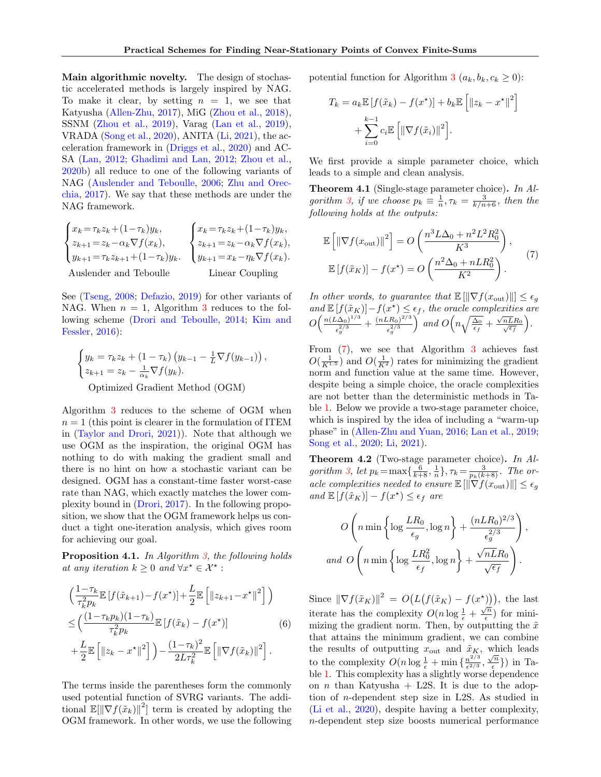Main algorithmic novelty. The design of stochastic accelerated methods is largely inspired by NAG. To make it clear, by setting  $n = 1$ , we see that Katyusha [\(Allen-Zhu,](#page-8-6) [2017\)](#page-8-6), MiG [\(Zhou et al.,](#page-10-15) [2018\)](#page-10-15), SSNM [\(Zhou et al.,](#page-10-16) [2019\)](#page-10-16), Varag [\(Lan et al.,](#page-9-20) [2019\)](#page-9-20), VRADA [\(Song et al.,](#page-10-17) [2020\)](#page-10-17), ANITA [\(Li,](#page-9-21) [2021\)](#page-9-21), the acceleration framework in [\(Driggs et al.,](#page-8-7) [2020\)](#page-8-7) and AC-SA [\(Lan,](#page-9-22) [2012;](#page-9-22) [Ghadimi and Lan,](#page-9-23) [2012;](#page-9-23) [Zhou et al.,](#page-10-18) [2020b\)](#page-10-18) all reduce to one of the following variants of NAG [\(Auslender and Teboulle,](#page-8-8) [2006;](#page-8-8) [Zhu and Orec](#page-10-19)[chia,](#page-10-19) [2017\)](#page-10-19). We say that these methods are under the NAG framework.

$$
\begin{cases}\nx_k = \tau_k z_k + (1 - \tau_k) y_k, \\
z_{k+1} = z_k - \alpha_k \nabla f(x_k), \\
y_{k+1} = \tau_k z_{k+1} + (1 - \tau_k) y_k.\n\end{cases}\n\begin{cases}\nx_k = \tau_k z_k + (1 - \tau_k) y_k, \\
z_{k+1} = z_k - \alpha_k \nabla f(x_k), \\
y_{k+1} = x_k - \eta_k \nabla f(x_k).\n\end{cases}
$$
\nAssender and Teboulle

\nLinear Coupling

See [\(Tseng,](#page-10-20) [2008;](#page-10-20) [Defazio,](#page-8-9) [2019\)](#page-8-9) for other variants of NAG. When  $n = 1$ , Algorithm [3](#page-4-1) reduces to the following scheme [\(Drori and Teboulle,](#page-9-1) [2014;](#page-9-1) [Kim and](#page-9-3) [Fessler,](#page-9-3) [2016\)](#page-9-3):

$$
\begin{cases} y_k = \tau_k z_k + (1 - \tau_k) (y_{k-1} - \frac{1}{L} \nabla f(y_{k-1})) , \\ z_{k+1} = z_k - \frac{1}{\alpha_k} \nabla f(y_k). \end{cases}
$$
Optimized Gradient Method (OGM)

Algorithm [3](#page-4-1) reduces to the scheme of OGM when  $n = 1$  (this point is clearer in the formulation of ITEM in [\(Taylor and Drori,](#page-10-1) [2021\)](#page-10-1)). Note that although we use OGM as the inspiration, the original OGM has nothing to do with making the gradient small and there is no hint on how a stochastic variant can be designed. OGM has a constant-time faster worst-case rate than NAG, which exactly matches the lower complexity bound in [\(Drori,](#page-9-4) [2017\)](#page-9-4). In the following proposition, we show that the OGM framework helps us conduct a tight one-iteration analysis, which gives room for achieving our goal.

<span id="page-5-2"></span>Proposition 4.1. In Algorithm [3,](#page-4-1) the following holds at any iteration  $k \geq 0$  and  $\forall x^* \in \mathcal{X}^*$ :

<span id="page-5-4"></span>
$$
\left(\frac{1-\tau_k}{\tau_k^2 p_k} \mathbb{E}\left[f(\tilde{x}_{k+1})-f(x^\star)\right]+\frac{L}{2} \mathbb{E}\left[\left\|z_{k+1}-x^\star\right\|^2\right]\right)
$$
\n
$$
\leq \left(\frac{(1-\tau_k p_k)(1-\tau_k)}{\tau_k^2 p_k} \mathbb{E}\left[f(\tilde{x}_k)-f(x^\star)\right] \tag{6}
$$
\n
$$
+\frac{L}{2} \mathbb{E}\left[\left\|z_k-x^\star\right\|^2\right]\right) - \frac{(1-\tau_k)^2}{2L\tau_k^2} \mathbb{E}\left[\left\|\nabla f(\tilde{x}_k)\right\|^2\right].
$$

The terms inside the parentheses form the commonly used potential function of SVRG variants. The additional  $\mathbb{E}[\|\nabla f(\tilde{x}_k)\|^2]$  term is created by adopting the OGM framework. In other words, we use the following potential function for Algorithm [3](#page-4-1)  $(a_k, b_k, c_k \geq 0)$ :

$$
T_k = a_k \mathbb{E} [f(\tilde{x}_k) - f(x^*)] + b_k \mathbb{E} \left[ \|z_k - x^*\|^2 \right] + \sum_{i=0}^{k-1} c_i \mathbb{E} \left[ \|\nabla f(\tilde{x}_i)\|^2 \right].
$$

We first provide a simple parameter choice, which leads to a simple and clean analysis.

<span id="page-5-3"></span>Theorem 4.1 (Single-stage parameter choice). In Al-gorithm [3,](#page-4-1) if we choose  $p_k \equiv \frac{1}{n}, \tau_k = \frac{3}{k/n+6}$ , then the following holds at the outputs:

<span id="page-5-0"></span>
$$
\mathbb{E}\left[\left\|\nabla f(x_{\text{out}})\right\|^2\right] = O\left(\frac{n^3 L \Delta_0 + n^2 L^2 R_0^2}{K^3}\right),
$$

$$
\mathbb{E}\left[f(\tilde{x}_K)\right] - f(x^\star) = O\left(\frac{n^2 \Delta_0 + n L R_0^2}{K^2}\right).
$$
 (7)

In other words, to guarantee that  $\mathbb{E}[\|\nabla f(x_{\text{out}})\|] \leq \epsilon_q$ and  $\mathbb{E}[f(\tilde{x}_K)] - f(x^*) \leq \epsilon_f$ , the oracle complexities are  $O\left(\frac{n(L\Delta_0)^{1/3}}{2/3}\right)$  $\frac{(\lambda \Delta_0)^{1/3}}{\epsilon_g^{2/3}} + \frac{(nLR_0)^{2/3}}{\epsilon_g^{2/3}}$  $\epsilon_g^{2/3}$  $\int$  and  $O\left(n\sqrt{\frac{\Delta_0}{\epsilon_f}}+\frac{\sqrt{\Delta_0}}{\epsilon_f}\right)$  $\sqrt{\frac{nL}R_0}{\sqrt{\epsilon_f}}$ .

From  $(7)$ , we see that Algorithm [3](#page-4-1) achieves fast  $O(\frac{1}{K^{1.5}})$  and  $O(\frac{1}{K^2})$  rates for minimizing the gradient norm and function value at the same time. However, despite being a simple choice, the oracle complexities are not better than the deterministic methods in Table [1.](#page-1-0) Below we provide a two-stage parameter choice, which is inspired by the idea of including a "warm-up phase" in [\(Allen-Zhu and Yuan,](#page-8-10) [2016;](#page-8-10) [Lan et al.,](#page-9-20) [2019;](#page-9-20) [Song et al.,](#page-10-17) [2020;](#page-10-17) [Li,](#page-9-21) [2021\)](#page-9-21).

<span id="page-5-1"></span>Theorem 4.2 (Two-stage parameter choice). In Al-gorithm [3,](#page-4-1) let  $p_k = \max\{\frac{6}{k+8}, \frac{1}{n}\}, \tau_k = \frac{3}{p_k(k+8)}$ . The oracle complexities needed to ensure  $\mathbb{E}[\|\nabla f(x_{\text{out}})\|] \leq \epsilon_g$ and  $\mathbb{E}[f(\tilde{x}_K)] - f(x^*) \leq \epsilon_f$  are

$$
O\left(n \min\left\{\log \frac{LR_0}{\epsilon_g}, \log n\right\} + \frac{(nLR_0)^{2/3}}{\epsilon_g^{2/3}}\right),\,
$$
  
and 
$$
O\left(n \min\left\{\log \frac{LR_0^2}{\epsilon_f}, \log n\right\} + \frac{\sqrt{nLR_0}}{\sqrt{\epsilon_f}}\right).
$$

Since  $\|\nabla f(\tilde{x}_K)\|^2 = O(L(f(\tilde{x}_K) - f(x^*))),$  the last iterate has the complexity  $O(n \log \frac{1}{\epsilon} + \frac{\sqrt{n}}{\epsilon})$  $\frac{n}{\epsilon}$ ) for minimizing the gradient norm. Then, by outputting the  $\tilde{x}$ that attains the minimum gradient, we can combine the results of outputting  $x_{\text{out}}$  and  $\tilde{x}_K$ , which leads to the complexity  $O(n \log \frac{1}{\epsilon} + \min \{ \frac{n^{2/3}}{\epsilon^{2/3}} \}$  $\frac{n^{2/3}}{\epsilon^{2/3}}, \frac{\sqrt{n}}{\epsilon}$  $\binom{n}{\epsilon}$ ) in Table [1.](#page-1-0) This complexity has a slightly worse dependence on *n* than Katyusha  $+$  L2S. It is due to the adoption of n-dependent step size in L2S. As studied in [\(Li et al.,](#page-9-17) [2020\)](#page-9-17), despite having a better complexity, n-dependent step size boosts numerical performance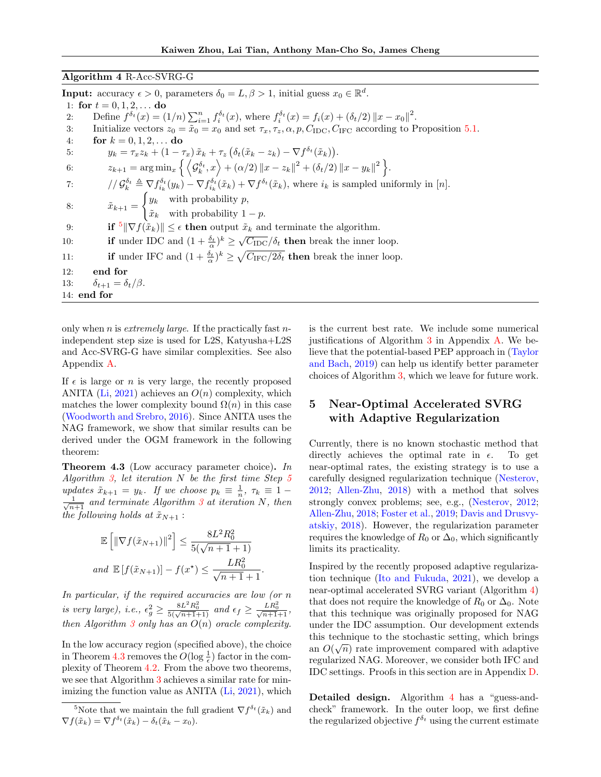## <span id="page-6-3"></span>Algorithm 4 R-Acc-SVRG-G

**Input:** accuracy  $\epsilon > 0$ , parameters  $\delta_0 = L, \beta > 1$ , initial guess  $x_0 \in \mathbb{R}^d$ . 1: for  $t = 0, 1, 2, \ldots$  do 2: Define  $f^{\delta_t}(x) = (1/n) \sum_{i=1}^n f_i^{\delta_t}(x)$ , where  $f_i^{\delta_t}(x) = f_i(x) + (\delta_t/2) ||x - x_0||^2$ . 3: Initialize vectors  $z_0 = \tilde{x}_0 = x_0$  and set  $\tau_x, \tau_z, \alpha, p, C_{\text{IDC}}, C_{\text{IFC}}$  according to Proposition [5.1.](#page-7-0) 4: for  $k = 0, 1, 2, ...$  do 5:  $y_k = \tau_x z_k + (1 - \tau_x) \tilde{x}_k + \tau_z \left( \delta_t (\tilde{x}_k - z_k) - \nabla f^{\delta_t} (\tilde{x}_k) \right).$ 6:  $z_{k+1} = \arg \min_x \left\{ \left\langle \mathcal{G}_k^{\delta_t}, x \right\rangle + (\alpha/2) \|x - z_k\|^2 + (\delta_t/2) \|x - y_k\|^2 \right\}.$ 7:  $/ \int \mathcal{G}_k^{\delta_t} \triangleq \nabla f_{i_k}^{\delta_t}(y_k) - \nabla f_{i_k}^{\delta_t}(\tilde{x}_k) + \nabla f^{\delta_t}(\tilde{x}_k)$ , where  $i_k$  is sampled uniformly in [n]. 8:  $\tilde{x}_{k+1} =$  $\int y_k$  with probability p,  $\tilde{x}_k$  with probability  $1 - p$ . 9: **if**  $\{\nabla f(\tilde{x}_k)\}\n\leq \epsilon$  then output  $\tilde{x}_k$  and terminate the algorithm. 10: if under IDC and  $(1 + \frac{\delta_t}{\alpha})^k \ge \sqrt{C_{\text{IDC}}}/\delta_t$  then break the inner loop. 11: **if** under IFC and  $(1 + \frac{\delta_t}{\alpha})^k \ge \sqrt{C_{\text{IFC}}/2\delta_t}$  then break the inner loop. 12: end for 13:  $\delta_{t+1} = \delta_t/\beta$ . 14: end for

only when n is extremely large. If the practically fast  $n$ independent step size is used for L2S, Katyusha+L2S and Acc-SVRG-G have similar complexities. See also Appendix [A.](#page-11-0)

If  $\epsilon$  is large or n is very large, the recently proposed ANITA [\(Li,](#page-9-21) [2021\)](#page-9-21) achieves an  $O(n)$  complexity, which matches the lower complexity bound  $\Omega(n)$  in this case [\(Woodworth and Srebro,](#page-10-10) [2016\)](#page-10-10). Since ANITA uses the NAG framework, we show that similar results can be derived under the OGM framework in the following theorem:

<span id="page-6-2"></span>Theorem 4.3 (Low accuracy parameter choice). In Algorithm [3,](#page-4-1) let iteration  $N$  be the first time Step [5](#page-4-1) updates  $\tilde{x}_{k+1} = y_k$ . If we choose  $p_k \equiv \frac{1}{n}$ ,  $\tau_k \equiv 1$  –  $\frac{1}{\sqrt{n+1}}$  and terminate Algorithm [3](#page-4-1) at iteration N, then the following holds at  $\tilde{x}_{N+1}$ :

$$
\mathbb{E}\left[\|\nabla f(\tilde{x}_{N+1})\|^2\right] \le \frac{8L^2R_0^2}{5(\sqrt{n+1}+1)}
$$
  
and 
$$
\mathbb{E}\left[f(\tilde{x}_{N+1})\right] - f(x^*) \le \frac{LR_0^2}{\sqrt{n+1}+1}.
$$

In particular, if the required accuracies are low (or n is very large), i.e.,  $\epsilon_g^2 \ge \frac{8L^2R_0^2}{5(\sqrt{n+1}+1)}$  and  $\epsilon_f \ge \frac{LR_0^2}{\sqrt{n+1}+1}$ , then Algorithm [3](#page-4-1) only has an  $O(n)$  oracle complexity.

In the low accuracy region (specified above), the choice in Theorem [4.3](#page-6-2) removes the  $O(\log \frac{1}{\epsilon})$  factor in the complexity of Theorem [4.2.](#page-5-1) From the above two theorems, we see that Algorithm [3](#page-4-1) achieves a similar rate for minimizing the function value as ANITA [\(Li,](#page-9-21) [2021\)](#page-9-21), which is the current best rate. We include some numerical justifications of Algorithm [3](#page-4-1) in Appendix [A.](#page-11-0) We believe that the potential-based PEP approach in [\(Taylor](#page-10-5) [and Bach,](#page-10-5) [2019\)](#page-10-5) can help us identify better parameter choices of Algorithm [3,](#page-4-1) which we leave for future work.

# <span id="page-6-0"></span>5 Near-Optimal Accelerated SVRG with Adaptive Regularization

Currently, there is no known stochastic method that directly achieves the optimal rate in  $\epsilon$ . To get near-optimal rates, the existing strategy is to use a carefully designed regularization technique [\(Nesterov,](#page-10-3) [2012;](#page-10-3) [Allen-Zhu,](#page-8-0) [2018\)](#page-8-0) with a method that solves strongly convex problems; see, e.g., [\(Nesterov,](#page-10-3) [2012;](#page-10-3) [Allen-Zhu,](#page-8-0) [2018;](#page-8-0) [Foster et al.,](#page-9-11) [2019;](#page-9-11) [Davis and Drusvy](#page-8-11)[atskiy,](#page-8-11) [2018\)](#page-8-11). However, the regularization parameter requires the knowledge of  $R_0$  or  $\Delta_0$ , which significantly limits its practicality.

Inspired by the recently proposed adaptive regularization technique [\(Ito and Fukuda,](#page-9-14) [2021\)](#page-9-14), we develop a near-optimal accelerated SVRG variant (Algorithm [4\)](#page-6-3) that does not require the knowledge of  $R_0$  or  $\Delta_0$ . Note that this technique was originally proposed for NAG under the IDC assumption. Our development extends this technique to the stochastic setting, which brings  $\hat{O}(\sqrt{m})$ an  $O(\sqrt{n})$  rate improvement compared with adaptive regularized NAG. Moreover, we consider both IFC and IDC settings. Proofs in this section are in Appendix [D.](#page-19-0)

Detailed design. Algorithm [4](#page-6-3) has a "guess-andcheck" framework. In the outer loop, we first define the regularized objective  $f^{\delta_t}$  using the current estimate

<span id="page-6-1"></span><sup>&</sup>lt;sup>5</sup>Note that we maintain the full gradient  $\nabla f^{\delta_t}(\tilde{x}_k)$  and  $\nabla f(\tilde{x}_k) = \nabla f^{\delta_t}(\tilde{x}_k) - \delta_t(\tilde{x}_k - x_0).$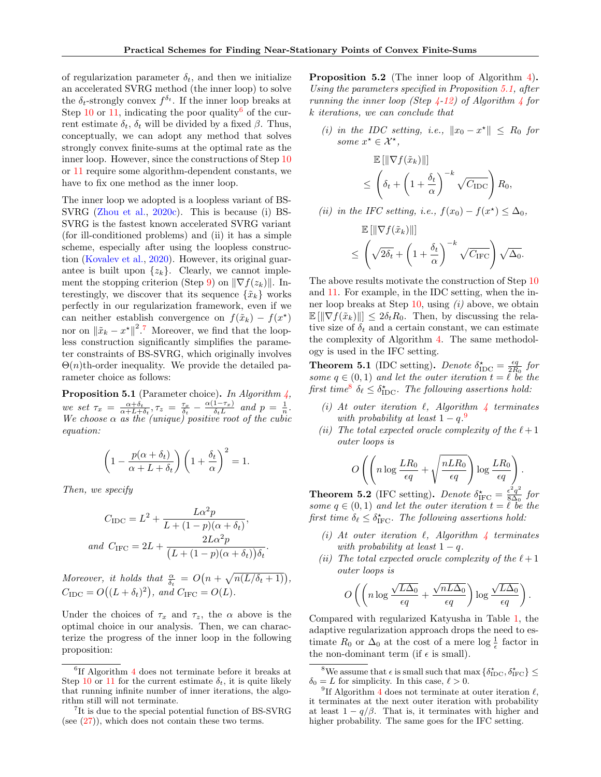of regularization parameter  $\delta_t$ , and then we initialize an accelerated SVRG method (the inner loop) to solve the  $\delta_t$ -strongly convex  $f^{\delta_t}$ . If the inner loop breaks at Step [10](#page-6-3) or [11,](#page-6-3) indicating the poor quality<sup>[6](#page-7-1)</sup> of the current estimate  $\delta_t$ ,  $\delta_t$  will be divided by a fixed  $\beta$ . Thus, conceptually, we can adopt any method that solves strongly convex finite-sums at the optimal rate as the inner loop. However, since the constructions of Step [10](#page-6-3) or [11](#page-6-3) require some algorithm-dependent constants, we have to fix one method as the inner loop.

The inner loop we adopted is a loopless variant of BS-SVRG [\(Zhou et al.,](#page-10-13) [2020c\)](#page-10-13). This is because (i) BS-SVRG is the fastest known accelerated SVRG variant (for ill-conditioned problems) and (ii) it has a simple scheme, especially after using the loopless construction [\(Kovalev et al.,](#page-9-19) [2020\)](#page-9-19). However, its original guarantee is built upon  $\{z_k\}$ . Clearly, we cannot imple-ment the stopping criterion (Step [9\)](#page-6-3) on  $\|\nabla f(z_k)\|$ . Interestingly, we discover that its sequence  $\{\tilde{x}_k\}$  works perfectly in our regularization framework, even if we can neither establish convergence on  $f(\tilde{x}_k) - f(x^*)$ nor on  $\|\tilde{x}_k - x^{\star}\|^2$ .<sup>[7](#page-7-2)</sup> Moreover, we find that the loopless construction significantly simplifies the parameter constraints of BS-SVRG, which originally involves  $\Theta(n)$ th-order inequality. We provide the detailed parameter choice as follows:

<span id="page-7-0"></span>**Proposition 5.1** (Parameter choice). In Algorithm  $\lambda$ , we set  $\tau_x = \frac{\alpha + \delta_t}{\alpha + L + \delta_t}, \tau_z = \frac{\tau_x}{\delta_t} - \frac{\alpha(1-\tau_x)}{\delta_t L}$  $\frac{1-\tau_x}{\delta_t L}$  and  $p = \frac{1}{n}$ . We choose  $\alpha$  as the (unique) positive root of the cubic equation:

$$
\left(1 - \frac{p(\alpha + \delta_t)}{\alpha + L + \delta_t}\right) \left(1 + \frac{\delta_t}{\alpha}\right)^2 = 1.
$$

Then, we specify

$$
C_{\text{IDC}} = L^2 + \frac{L\alpha^2 p}{L + (1 - p)(\alpha + \delta_t)},
$$
  
and 
$$
C_{\text{IFC}} = 2L + \frac{2L\alpha^2 p}{(L + (1 - p)(\alpha + \delta_t))\delta_t}.
$$

Moreover, it holds that  $\frac{\alpha}{\delta_t} = O\left(n + \sqrt{n(L/\delta_t + 1)}\right)$ ,  $C_{\text{IDC}} = O((L + \delta_t)^2)$ , and  $C_{\text{IFC}} = O(L)$ .

Under the choices of  $\tau_x$  and  $\tau_z$ , the  $\alpha$  above is the optimal choice in our analysis. Then, we can characterize the progress of the inner loop in the following proposition:

<span id="page-7-5"></span>Proposition 5.2 (The inner loop of Algorithm [4\)](#page-6-3). Using the parameters specified in Proposition [5.1,](#page-7-0) after running the inner loop (Step  $\angle$ -12) of Algorithm  $\angle$  for k iterations, we can conclude that

(i) in the IDC setting, i.e.,  $||x_0 - x^*|| \leq R_0$  for some  $x^* \in \mathcal{X}^*$ ,

$$
\mathbb{E}[\|\nabla f(\tilde{x}_k)\|]
$$
\n
$$
\leq \left(\delta_t + \left(1 + \frac{\delta_t}{\alpha}\right)^{-k} \sqrt{C_{\text{IDC}}}\right) R_0,
$$
\n(*ii*) in the IFC setting, i.e.,  $f(x_0) - f(x^*) \leq \Delta_0$ ,\n
$$
\mathbb{E}[\|\nabla f(\tilde{x}_k)\|]
$$
\n
$$
\leq \left(\sqrt{2\delta_t} + \left(1 + \frac{\delta_t}{\alpha}\right)^{-k} \sqrt{C_{\text{IFC}}}\right) \sqrt{\Delta_0}.
$$

The above results motivate the construction of Step [10](#page-6-3) and [11.](#page-6-3) For example, in the IDC setting, when the inner loop breaks at Step  $10$ , using  $(i)$  above, we obtain  $\mathbb{E}[\|\nabla f(\tilde{x}_k)\|] \leq 2\delta_t R_0$ . Then, by discussing the relative size of  $\delta_t$  and a certain constant, we can estimate the complexity of Algorithm [4.](#page-6-3) The same methodology is used in the IFC setting.

<span id="page-7-6"></span>**Theorem 5.1** (IDC setting). Denote  $\delta_{\text{IDC}}^* = \frac{\epsilon q}{2R_0}$  for some  $q \in (0,1)$  and let the outer iteration  $t = \ell$  be the first time<sup>[8](#page-7-3)</sup>  $\delta_{\ell} \leq \delta_{\text{IDC}}^{\star}$ . The following assertions hold:

- (i) At outer iteration  $\ell$ , Algorithm  $\ell$  terminates with probability at least  $1-q<sup>9</sup>$  $1-q<sup>9</sup>$  $1-q<sup>9</sup>$
- (ii) The total expected oracle complexity of the  $\ell+1$ outer loops is

$$
O\left(\left(n\log\frac{LR_0}{\epsilon q}+\sqrt{\frac{nLR_0}{\epsilon q}}\right)\log\frac{LR_0}{\epsilon q}\right).
$$

<span id="page-7-7"></span>**Theorem 5.2** (IFC setting). Denote  $\delta^{\star}_{\text{IPC}} = \frac{\epsilon^2 q^2}{8 \Delta_0}$  $\frac{\epsilon^{-}q^{-}}{8\Delta_0}$  for some  $q \in (0,1)$  and let the outer iteration  $t = \ell$  be the first time  $\delta_{\ell} \leq \delta_{\text{IFC}}^{\star}$ . The following assertions hold:

- (i) At outer iteration  $\ell$ , Algorithm  $\ell$  terminates with probability at least  $1 - q$ .
- (ii) The total expected oracle complexity of the  $\ell+1$ outer loops is

$$
O\left(\left(n\log\frac{\sqrt{L\Delta_0}}{\epsilon q} + \frac{\sqrt{nL\Delta_0}}{\epsilon q}\right)\log\frac{\sqrt{L\Delta_0}}{\epsilon q}\right).
$$

Compared with regularized Katyusha in Table [1,](#page-1-0) the adaptive regularization approach drops the need to estimate  $R_0$  or  $\Delta_0$  at the cost of a mere log  $\frac{1}{\epsilon}$  factor in the non-dominant term (if  $\epsilon$  is small).

<span id="page-7-1"></span><sup>6</sup> If Algorithm [4](#page-6-3) does not terminate before it breaks at Step [10](#page-6-3) or [11](#page-6-3) for the current estimate  $\delta_t$ , it is quite likely that running infinite number of inner iterations, the algorithm still will not terminate.

<span id="page-7-2"></span><sup>7</sup> It is due to the special potential function of BS-SVRG (see  $(27)$ ), which does not contain these two terms.

<span id="page-7-3"></span><sup>&</sup>lt;sup>8</sup>We assume that  $\epsilon$  is small such that max  $\{\delta_{\text{IDC}}^{\star}, \delta_{\text{IFC}}^{\star}\}\leq$  $\delta_0 = L$  for simplicity. In this case,  $\ell > 0$ .

<span id="page-7-4"></span><sup>&</sup>lt;sup>9</sup>If Algorithm [4](#page-6-3) does not terminate at outer iteration  $\ell$ , it terminates at the next outer iteration with probability at least  $1 - q/\beta$ . That is, it terminates with higher and higher probability. The same goes for the IFC setting.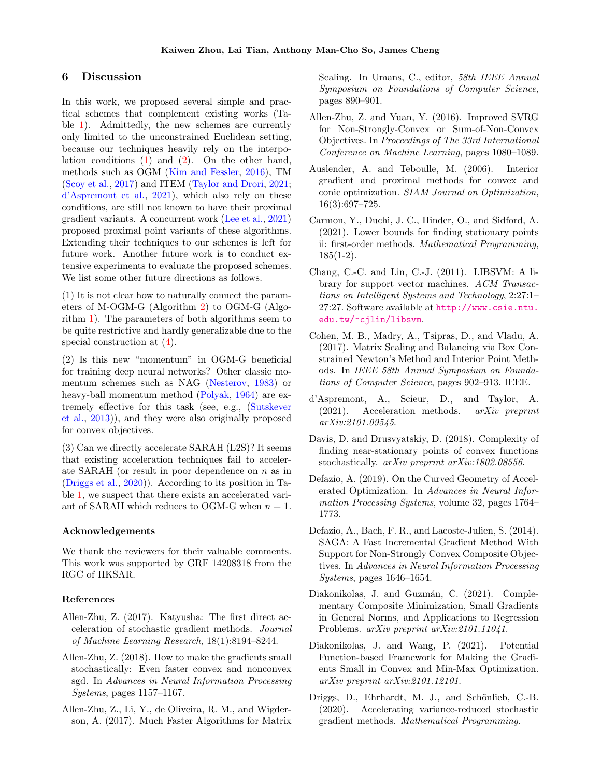## 6 Discussion

In this work, we proposed several simple and practical schemes that complement existing works (Table [1\)](#page-1-0). Admittedly, the new schemes are currently only limited to the unconstrained Euclidean setting, because our techniques heavily rely on the interpolation conditions  $(1)$  and  $(2)$ . On the other hand, methods such as OGM [\(Kim and Fessler,](#page-9-3) [2016\)](#page-9-3), TM [\(Scoy et al.,](#page-10-21) [2017\)](#page-10-21) and ITEM [\(Taylor and Drori,](#page-10-1) [2021;](#page-10-1) [d'Aspremont et al.,](#page-8-12) [2021\)](#page-8-12), which also rely on these conditions, are still not known to have their proximal gradient variants. A concurrent work [\(Lee et al.,](#page-9-15) [2021\)](#page-9-15) proposed proximal point variants of these algorithms. Extending their techniques to our schemes is left for future work. Another future work is to conduct extensive experiments to evaluate the proposed schemes. We list some other future directions as follows.

(1) It is not clear how to naturally connect the parameters of M-OGM-G (Algorithm [2\)](#page-3-4) to OGM-G (Algorithm [1\)](#page-3-1). The parameters of both algorithms seem to be quite restrictive and hardly generalizable due to the special construction at [\(4\)](#page-3-3).

(2) Is this new "momentum" in OGM-G beneficial for training deep neural networks? Other classic momentum schemes such as NAG [\(Nesterov,](#page-9-2) [1983\)](#page-9-2) or heavy-ball momentum method [\(Polyak,](#page-10-14) [1964\)](#page-10-14) are extremely effective for this task (see, e.g., [\(Sutskever](#page-10-22) [et al.,](#page-10-22) [2013\)](#page-10-22)), and they were also originally proposed for convex objectives.

(3) Can we directly accelerate SARAH (L2S)? It seems that existing acceleration techniques fail to accelerate SARAH (or result in poor dependence on  $n$  as in [\(Driggs et al.,](#page-8-7) [2020\)](#page-8-7)). According to its position in Table [1,](#page-1-0) we suspect that there exists an accelerated variant of SARAH which reduces to OGM-G when  $n = 1$ .

#### Acknowledgements

We thank the reviewers for their valuable comments. This work was supported by GRF 14208318 from the RGC of HKSAR.

#### References

- <span id="page-8-6"></span>Allen-Zhu, Z. (2017). Katyusha: The first direct acceleration of stochastic gradient methods. Journal of Machine Learning Research, 18(1):8194–8244.
- <span id="page-8-0"></span>Allen-Zhu, Z. (2018). How to make the gradients small stochastically: Even faster convex and nonconvex sgd. In Advances in Neural Information Processing Systems, pages 1157–1167.
- <span id="page-8-4"></span>Allen-Zhu, Z., Li, Y., de Oliveira, R. M., and Wigderson, A. (2017). Much Faster Algorithms for Matrix

Scaling. In Umans, C., editor, 58th IEEE Annual Symposium on Foundations of Computer Science, pages 890–901.

- <span id="page-8-10"></span>Allen-Zhu, Z. and Yuan, Y. (2016). Improved SVRG for Non-Strongly-Convex or Sum-of-Non-Convex Objectives. In Proceedings of The 33rd International Conference on Machine Learning, pages 1080–1089.
- <span id="page-8-8"></span>Auslender, A. and Teboulle, M. (2006). Interior gradient and proximal methods for convex and conic optimization. SIAM Journal on Optimization, 16(3):697–725.
- <span id="page-8-1"></span>Carmon, Y., Duchi, J. C., Hinder, O., and Sidford, A. (2021). Lower bounds for finding stationary points ii: first-order methods. Mathematical Programming,  $185(1-2)$ .
- <span id="page-8-14"></span>Chang, C.-C. and Lin, C.-J. (2011). LIBSVM: A library for support vector machines. ACM Transactions on Intelligent Systems and Technology, 2:27:1– 27:27. Software available at [http://www.csie.ntu.](http://www.csie.ntu.edu.tw/~cjlin/libsvm) [edu.tw/~cjlin/libsvm](http://www.csie.ntu.edu.tw/~cjlin/libsvm).
- <span id="page-8-5"></span>Cohen, M. B., Madry, A., Tsipras, D., and Vladu, A. (2017). Matrix Scaling and Balancing via Box Constrained Newton's Method and Interior Point Methods. In IEEE 58th Annual Symposium on Foundations of Computer Science, pages 902–913. IEEE.
- <span id="page-8-12"></span>d'Aspremont, A., Scieur, D., and Taylor, A.  $(2021)$ . Acceleration methods. *arXiv preprint* arXiv:2101.09545.
- <span id="page-8-11"></span>Davis, D. and Drusvyatskiy, D. (2018). Complexity of finding near-stationary points of convex functions stochastically. arXiv preprint arXiv:1802.08556.
- <span id="page-8-9"></span>Defazio, A. (2019). On the Curved Geometry of Accelerated Optimization. In Advances in Neural Information Processing Systems, volume 32, pages 1764– 1773.
- <span id="page-8-13"></span>Defazio, A., Bach, F. R., and Lacoste-Julien, S. (2014). SAGA: A Fast Incremental Gradient Method With Support for Non-Strongly Convex Composite Objectives. In Advances in Neural Information Processing Systems, pages 1646–1654.
- <span id="page-8-3"></span>Diakonikolas, J. and Guzmán, C. (2021). Complementary Composite Minimization, Small Gradients in General Norms, and Applications to Regression Problems. arXiv preprint arXiv:2101.11041.
- <span id="page-8-2"></span>Diakonikolas, J. and Wang, P. (2021). Potential Function-based Framework for Making the Gradients Small in Convex and Min-Max Optimization. arXiv preprint arXiv:2101.12101.
- <span id="page-8-7"></span>Driggs, D., Ehrhardt, M. J., and Schönlieb, C.-B. (2020). Accelerating variance-reduced stochastic gradient methods. Mathematical Programming.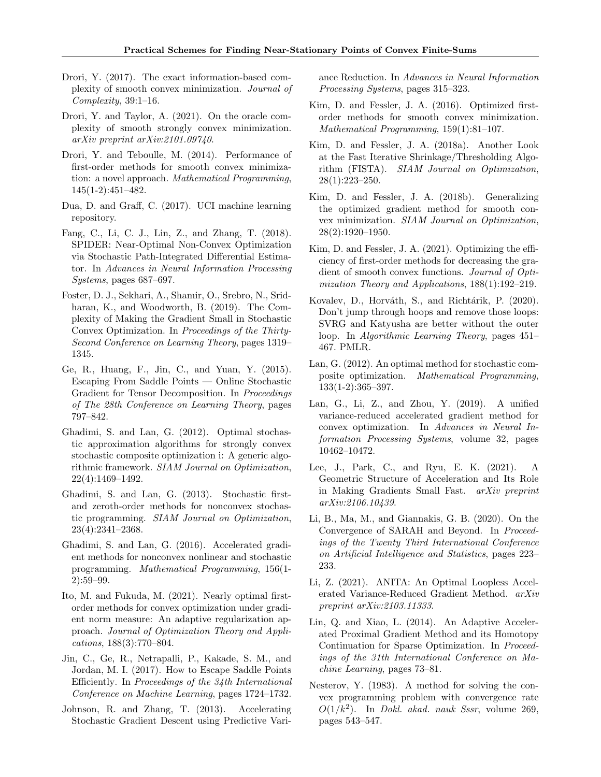- <span id="page-9-4"></span>Drori, Y. (2017). The exact information-based complexity of smooth convex minimization. Journal of  $Complexity$ , 39:1-16.
- <span id="page-9-5"></span>Drori, Y. and Taylor, A. (2021). On the oracle complexity of smooth strongly convex minimization. arXiv preprint arXiv:2101.09740.
- <span id="page-9-1"></span>Drori, Y. and Teboulle, M. (2014). Performance of first-order methods for smooth convex minimization: a novel approach. Mathematical Programming, 145(1-2):451–482.
- <span id="page-9-24"></span>Dua, D. and Graff, C. (2017). UCI machine learning repository.
- <span id="page-9-10"></span>Fang, C., Li, C. J., Lin, Z., and Zhang, T. (2018). SPIDER: Near-Optimal Non-Convex Optimization via Stochastic Path-Integrated Differential Estimator. In Advances in Neural Information Processing Systems, pages 687–697.
- <span id="page-9-11"></span>Foster, D. J., Sekhari, A., Shamir, O., Srebro, N., Sridharan, K., and Woodworth, B. (2019). The Complexity of Making the Gradient Small in Stochastic Convex Optimization. In Proceedings of the Thirty-Second Conference on Learning Theory, pages 1319– 1345.
- <span id="page-9-8"></span>Ge, R., Huang, F., Jin, C., and Yuan, Y. (2015). Escaping From Saddle Points — Online Stochastic Gradient for Tensor Decomposition. In Proceedings of The 28th Conference on Learning Theory, pages 797–842.
- <span id="page-9-23"></span>Ghadimi, S. and Lan, G. (2012). Optimal stochastic approximation algorithms for strongly convex stochastic composite optimization i: A generic algorithmic framework. SIAM Journal on Optimization, 22(4):1469–1492.
- <span id="page-9-6"></span>Ghadimi, S. and Lan, G. (2013). Stochastic firstand zeroth-order methods for nonconvex stochastic programming. SIAM Journal on Optimization, 23(4):2341–2368.
- <span id="page-9-7"></span>Ghadimi, S. and Lan, G. (2016). Accelerated gradient methods for nonconvex nonlinear and stochastic programming. Mathematical Programming, 156(1- 2):59–99.
- <span id="page-9-14"></span>Ito, M. and Fukuda, M. (2021). Nearly optimal firstorder methods for convex optimization under gradient norm measure: An adaptive regularization approach. Journal of Optimization Theory and Applications, 188(3):770–804.
- <span id="page-9-9"></span>Jin, C., Ge, R., Netrapalli, P., Kakade, S. M., and Jordan, M. I. (2017). How to Escape Saddle Points Efficiently. In Proceedings of the 34th International Conference on Machine Learning, pages 1724–1732.
- <span id="page-9-18"></span>Johnson, R. and Zhang, T. (2013). Accelerating Stochastic Gradient Descent using Predictive Vari-

ance Reduction. In Advances in Neural Information Processing Systems, pages 315–323.

- <span id="page-9-3"></span>Kim, D. and Fessler, J. A. (2016). Optimized firstorder methods for smooth convex minimization. Mathematical Programming, 159(1):81–107.
- <span id="page-9-12"></span>Kim, D. and Fessler, J. A. (2018a). Another Look at the Fast Iterative Shrinkage/Thresholding Algorithm (FISTA). SIAM Journal on Optimization, 28(1):223–250.
- <span id="page-9-13"></span>Kim, D. and Fessler, J. A. (2018b). Generalizing the optimized gradient method for smooth convex minimization. SIAM Journal on Optimization, 28(2):1920–1950.
- <span id="page-9-0"></span>Kim, D. and Fessler, J. A. (2021). Optimizing the efficiency of first-order methods for decreasing the gradient of smooth convex functions. Journal of Optimization Theory and Applications, 188(1):192–219.
- <span id="page-9-19"></span>Kovalev, D., Horváth, S., and Richtárik, P. (2020). Don't jump through hoops and remove those loops: SVRG and Katyusha are better without the outer loop. In Algorithmic Learning Theory, pages 451– 467. PMLR.
- <span id="page-9-22"></span>Lan, G. (2012). An optimal method for stochastic composite optimization. Mathematical Programming, 133(1-2):365–397.
- <span id="page-9-20"></span>Lan, G., Li, Z., and Zhou, Y. (2019). A unified variance-reduced accelerated gradient method for convex optimization. In Advances in Neural Information Processing Systems, volume 32, pages 10462–10472.
- <span id="page-9-15"></span>Lee, J., Park, C., and Ryu, E. K. (2021). A Geometric Structure of Acceleration and Its Role in Making Gradients Small Fast. arXiv preprint arXiv:2106.10439.
- <span id="page-9-17"></span>Li, B., Ma, M., and Giannakis, G. B. (2020). On the Convergence of SARAH and Beyond. In Proceedings of the Twenty Third International Conference on Artificial Intelligence and Statistics, pages 223– 233.
- <span id="page-9-21"></span>Li, Z. (2021). ANITA: An Optimal Loopless Accelerated Variance-Reduced Gradient Method. arXiv preprint arXiv:2103.11333.
- <span id="page-9-16"></span>Lin, Q. and Xiao, L. (2014). An Adaptive Accelerated Proximal Gradient Method and its Homotopy Continuation for Sparse Optimization. In Proceedings of the 31th International Conference on Machine Learning, pages 73–81.
- <span id="page-9-2"></span>Nesterov, Y. (1983). A method for solving the convex programming problem with convergence rate  $O(1/k^2)$ . In *Dokl. akad. nauk Sssr*, volume 269, pages 543–547.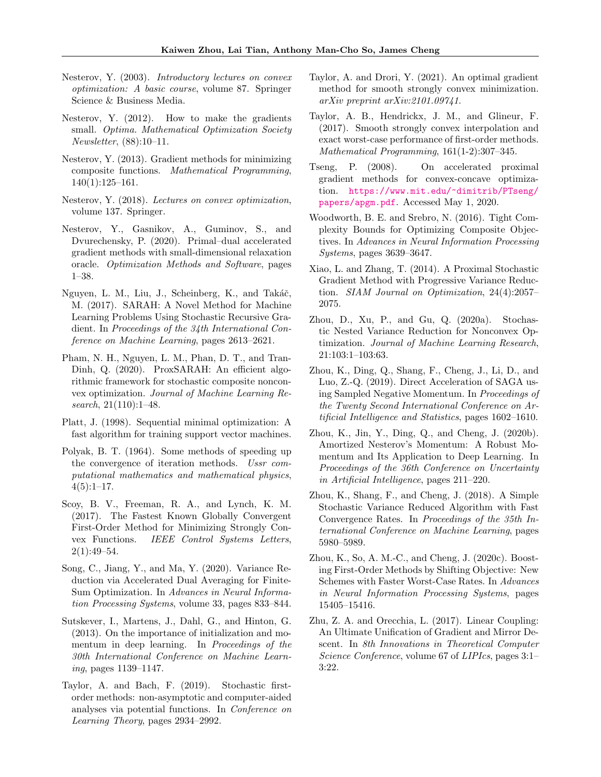- <span id="page-10-0"></span>Nesterov, Y. (2003). Introductory lectures on convex optimization: A basic course, volume 87. Springer Science & Business Media.
- <span id="page-10-3"></span>Nesterov, Y. (2012). How to make the gradients small. Optima. Mathematical Optimization Society Newsletter, (88):10–11.
- <span id="page-10-4"></span>Nesterov, Y. (2013). Gradient methods for minimizing composite functions. Mathematical Programming, 140(1):125–161.
- <span id="page-10-9"></span>Nesterov, Y. (2018). Lectures on convex optimization, volume 137. Springer.
- <span id="page-10-6"></span>Nesterov, Y., Gasnikov, A., Guminov, S., and Dvurechensky, P. (2020). Primal–dual accelerated gradient methods with small-dimensional relaxation oracle. Optimization Methods and Software, pages 1–38.
- <span id="page-10-7"></span>Nguyen, L. M., Liu, J., Scheinberg, K., and Takáč, M. (2017). SARAH: A Novel Method for Machine Learning Problems Using Stochastic Recursive Gradient. In Proceedings of the 34th International Conference on Machine Learning, pages 2613–2621.
- <span id="page-10-8"></span>Pham, N. H., Nguyen, L. M., Phan, D. T., and Tran-Dinh, Q. (2020). ProxSARAH: An efficient algorithmic framework for stochastic composite nonconvex optimization. Journal of Machine Learning Research, 21(110):1–48.
- <span id="page-10-23"></span>Platt, J. (1998). Sequential minimal optimization: A fast algorithm for training support vector machines.
- <span id="page-10-14"></span>Polyak, B. T. (1964). Some methods of speeding up the convergence of iteration methods. Ussr computational mathematics and mathematical physics,  $4(5):1-17.$
- <span id="page-10-21"></span>Scoy, B. V., Freeman, R. A., and Lynch, K. M. (2017). The Fastest Known Globally Convergent First-Order Method for Minimizing Strongly Convex Functions. IEEE Control Systems Letters,  $2(1):49-54.$
- <span id="page-10-17"></span>Song, C., Jiang, Y., and Ma, Y. (2020). Variance Reduction via Accelerated Dual Averaging for Finite-Sum Optimization. In Advances in Neural Information Processing Systems, volume 33, pages 833–844.
- <span id="page-10-22"></span>Sutskever, I., Martens, J., Dahl, G., and Hinton, G. (2013). On the importance of initialization and momentum in deep learning. In Proceedings of the 30th International Conference on Machine Learning, pages 1139–1147.
- <span id="page-10-5"></span>Taylor, A. and Bach, F. (2019). Stochastic firstorder methods: non-asymptotic and computer-aided analyses via potential functions. In Conference on Learning Theory, pages 2934–2992.
- <span id="page-10-1"></span>Taylor, A. and Drori, Y. (2021). An optimal gradient method for smooth strongly convex minimization. arXiv preprint arXiv:2101.09741.
- <span id="page-10-12"></span>Taylor, A. B., Hendrickx, J. M., and Glineur, F. (2017). Smooth strongly convex interpolation and exact worst-case performance of first-order methods. Mathematical Programming, 161(1-2):307–345.
- <span id="page-10-20"></span>Tseng, P. (2008). On accelerated proximal gradient methods for convex-concave optimization. [https://www.mit.edu/~dimitrib/PTseng/](https://www.mit.edu/~dimitrib/PTseng/papers/apgm.pdf) [papers/apgm.pdf](https://www.mit.edu/~dimitrib/PTseng/papers/apgm.pdf). Accessed May 1, 2020.
- <span id="page-10-10"></span>Woodworth, B. E. and Srebro, N. (2016). Tight Complexity Bounds for Optimizing Composite Objectives. In Advances in Neural Information Processing Systems, pages 3639–3647.
- <span id="page-10-11"></span>Xiao, L. and Zhang, T. (2014). A Proximal Stochastic Gradient Method with Progressive Variance Reduction. SIAM Journal on Optimization, 24(4):2057– 2075.
- <span id="page-10-2"></span>Zhou, D., Xu, P., and Gu, Q. (2020a). Stochastic Nested Variance Reduction for Nonconvex Optimization. Journal of Machine Learning Research, 21:103:1–103:63.
- <span id="page-10-16"></span>Zhou, K., Ding, Q., Shang, F., Cheng, J., Li, D., and Luo, Z.-Q. (2019). Direct Acceleration of SAGA using Sampled Negative Momentum. In Proceedings of the Twenty Second International Conference on Artificial Intelligence and Statistics, pages 1602–1610.
- <span id="page-10-18"></span>Zhou, K., Jin, Y., Ding, Q., and Cheng, J. (2020b). Amortized Nesterov's Momentum: A Robust Momentum and Its Application to Deep Learning. In Proceedings of the 36th Conference on Uncertainty in Artificial Intelligence, pages 211–220.
- <span id="page-10-15"></span>Zhou, K., Shang, F., and Cheng, J. (2018). A Simple Stochastic Variance Reduced Algorithm with Fast Convergence Rates. In Proceedings of the 35th International Conference on Machine Learning, pages 5980–5989.
- <span id="page-10-13"></span>Zhou, K., So, A. M.-C., and Cheng, J. (2020c). Boosting First-Order Methods by Shifting Objective: New Schemes with Faster Worst-Case Rates. In Advances in Neural Information Processing Systems, pages 15405–15416.
- <span id="page-10-19"></span>Zhu, Z. A. and Orecchia, L. (2017). Linear Coupling: An Ultimate Unification of Gradient and Mirror Descent. In 8th Innovations in Theoretical Computer Science Conference, volume 67 of LIPIcs, pages 3:1– 3:22.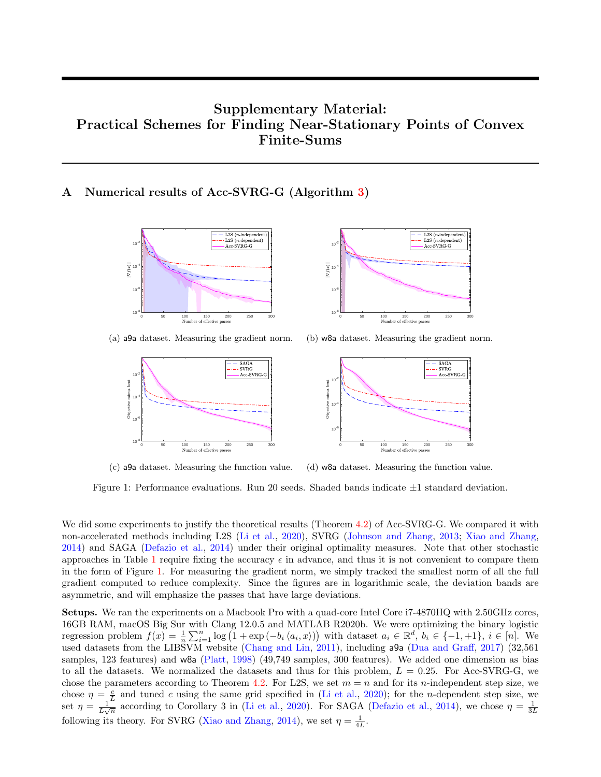# Supplementary Material: Practical Schemes for Finding Near-Stationary Points of Convex Finite-Sums

# <span id="page-11-1"></span><span id="page-11-0"></span>A Numerical results of Acc-SVRG-G (Algorithm [3\)](#page-4-1)





(a) a9a dataset. Measuring the gradient norm.





(c) a9a dataset. Measuring the function value. (d) w8a dataset. Measuring the function value.

Figure 1: Performance evaluations. Run 20 seeds. Shaded bands indicate  $\pm 1$  standard deviation.

We did some experiments to justify the theoretical results (Theorem [4.2\)](#page-5-1) of Acc-SVRG-G. We compared it with non-accelerated methods including L2S [\(Li et al.,](#page-9-17) [2020\)](#page-9-17), SVRG [\(Johnson and Zhang,](#page-9-18) [2013;](#page-9-18) [Xiao and Zhang,](#page-10-11) [2014\)](#page-10-11) and SAGA [\(Defazio et al.,](#page-8-13) [2014\)](#page-8-13) under their original optimality measures. Note that other stochastic approaches in Table [1](#page-1-0) require fixing the accuracy  $\epsilon$  in advance, and thus it is not convenient to compare them in the form of Figure [1.](#page-11-1) For measuring the gradient norm, we simply tracked the smallest norm of all the full gradient computed to reduce complexity. Since the figures are in logarithmic scale, the deviation bands are asymmetric, and will emphasize the passes that have large deviations.

Setups. We ran the experiments on a Macbook Pro with a quad-core Intel Core i7-4870HQ with 2.50GHz cores, 16GB RAM, macOS Big Sur with Clang 12.0.5 and MATLAB R2020b. We were optimizing the binary logistic regression problem  $f(x) = \frac{1}{n} \sum_{i=1}^{n} \log(1 + \exp(-b_i \langle a_i, x \rangle))$  with dataset  $a_i \in \mathbb{R}^d$ ,  $b_i \in \{-1, +1\}$ ,  $i \in [n]$ . We used datasets from the LIBSVM website [\(Chang and Lin,](#page-8-14) [2011\)](#page-8-14), including a9a [\(Dua and Graff,](#page-9-24) [2017\)](#page-9-24) (32,561 samples, 123 features) and w8a [\(Platt,](#page-10-23) [1998\)](#page-10-23) (49,749 samples, 300 features). We added one dimension as bias to all the datasets. We normalized the datasets and thus for this problem,  $L = 0.25$ . For Acc-SVRG-G, we chose the parameters according to Theorem [4.2.](#page-5-1) For L2S, we set  $m = n$  and for its *n*-independent step size, we chose  $\eta = \frac{c}{L}$  and tuned c using the same grid specified in [\(Li et al.,](#page-9-17) [2020\)](#page-9-17); for the *n*-dependent step size, we set  $\eta = \frac{1}{L\sqrt{n}}$  according to Corollary 3 in [\(Li et al.,](#page-9-17) [2020\)](#page-9-17). For SAGA [\(Defazio et al.,](#page-8-13) [2014\)](#page-8-13), we chose  $\eta = \frac{1}{3L}$ following its theory. For SVRG [\(Xiao and Zhang,](#page-10-11) [2014\)](#page-10-11), we set  $\eta = \frac{1}{4L}$ .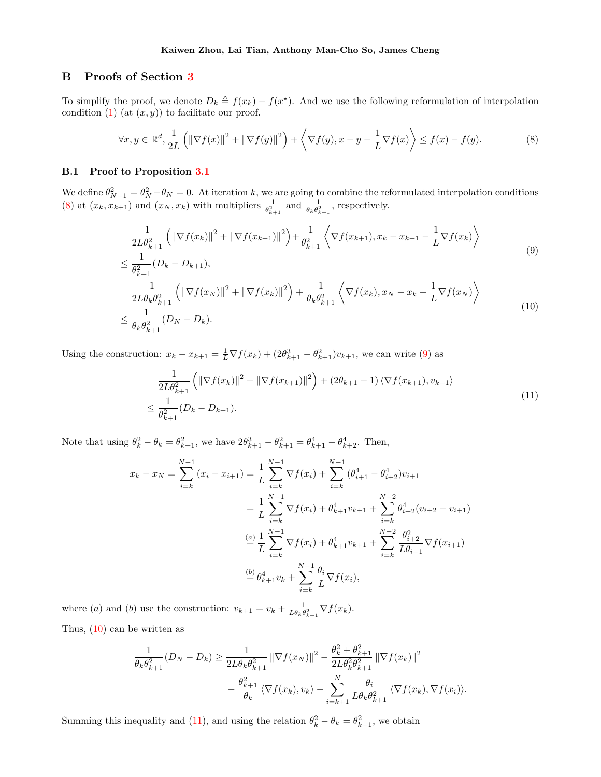## <span id="page-12-0"></span>B Proofs of Section [3](#page-2-0)

To simplify the proof, we denote  $D_k \triangleq f(x_k) - f(x^*)$ . And we use the following reformulation of interpolation condition  $(1)$  (at  $(x, y)$ ) to facilitate our proof.

<span id="page-12-1"></span>
$$
\forall x, y \in \mathbb{R}^d, \frac{1}{2L} \left( \left\| \nabla f(x) \right\|^2 + \left\| \nabla f(y) \right\|^2 \right) + \left\langle \nabla f(y), x - y - \frac{1}{L} \nabla f(x) \right\rangle \le f(x) - f(y). \tag{8}
$$

#### B.1 Proof to Proposition [3.1](#page-3-2)

We define  $\theta_{N+1}^2 = \theta_N^2 - \theta_N = 0$ . At iteration k, we are going to combine the reformulated interpolation conditions [\(8\)](#page-12-1) at  $(x_k, x_{k+1})$  and  $(x_N, x_k)$  with multipliers  $\frac{1}{\theta_{k+1}^2}$  and  $\frac{1}{\theta_k \theta_{k+1}^2}$ , respectively.

$$
\frac{1}{2L\theta_{k+1}^2} \left( \left\| \nabla f(x_k) \right\|^2 + \left\| \nabla f(x_{k+1}) \right\|^2 \right) + \frac{1}{\theta_{k+1}^2} \left\langle \nabla f(x_{k+1}), x_k - x_{k+1} - \frac{1}{L} \nabla f(x_k) \right\rangle
$$
\n
$$
\leq \frac{1}{\theta_2^2} (D_k - D_{k+1}),
$$
\n(9)

$$
\leq \frac{1}{\theta_{k+1}^2} (D_k - D_{k+1}),
$$
\n
$$
\frac{1}{2L\theta_k \theta_{k+1}^2} \left( \|\nabla f(x_N)\|^2 + \|\nabla f(x_k)\|^2 \right) + \frac{1}{\theta_k \theta_{k+1}^2} \left\langle \nabla f(x_k), x_N - x_k - \frac{1}{L} \nabla f(x_N) \right\rangle
$$
\n
$$
\leq \frac{1}{\theta_k \theta_{k+1}^2} (D_N - D_k).
$$
\n(10)

Using the construction:  $x_k - x_{k+1} = \frac{1}{L} \nabla f(x_k) + (2\theta_{k+1}^3 - \theta_{k+1}^2)v_{k+1}$ , we can write [\(9\)](#page-12-2) as

<span id="page-12-4"></span><span id="page-12-3"></span><span id="page-12-2"></span>
$$
\frac{1}{2L\theta_{k+1}^2} \left( \left\| \nabla f(x_k) \right\|^2 + \left\| \nabla f(x_{k+1}) \right\|^2 \right) + (2\theta_{k+1} - 1) \left\langle \nabla f(x_{k+1}), v_{k+1} \right\rangle \n\leq \frac{1}{\theta_{k+1}^2} (D_k - D_{k+1}).
$$
\n(11)

Note that using  $\theta_k^2 - \theta_k = \theta_{k+1}^2$ , we have  $2\theta_{k+1}^3 - \theta_{k+1}^2 = \theta_{k+1}^4 - \theta_{k+2}^4$ . Then,

$$
x_k - x_N = \sum_{i=k}^{N-1} (x_i - x_{i+1}) = \frac{1}{L} \sum_{i=k}^{N-1} \nabla f(x_i) + \sum_{i=k}^{N-1} (\theta_{i+1}^4 - \theta_{i+2}^4) v_{i+1}
$$
  
\n
$$
= \frac{1}{L} \sum_{i=k}^{N-1} \nabla f(x_i) + \theta_{k+1}^4 v_{k+1} + \sum_{i=k}^{N-2} \theta_{i+2}^4 (v_{i+2} - v_{i+1})
$$
  
\n
$$
\stackrel{(a)}{=} \frac{1}{L} \sum_{i=k}^{N-1} \nabla f(x_i) + \theta_{k+1}^4 v_{k+1} + \sum_{i=k}^{N-2} \frac{\theta_{i+2}^2}{L \theta_{i+1}} \nabla f(x_{i+1})
$$
  
\n
$$
\stackrel{(b)}{=} \theta_{k+1}^4 v_k + \sum_{i=k}^{N-1} \frac{\theta_i}{L} \nabla f(x_i),
$$

where (a) and (b) use the construction:  $v_{k+1} = v_k + \frac{1}{L\theta_k \theta_{k+1}^2} \nabla f(x_k)$ . Thus, [\(10\)](#page-12-3) can be written as

$$
\frac{1}{\theta_k \theta_{k+1}^2} (D_N - D_k) \ge \frac{1}{2L\theta_k \theta_{k+1}^2} \left\| \nabla f(x_N) \right\|^2 - \frac{\theta_k^2 + \theta_{k+1}^2}{2L\theta_k^2 \theta_{k+1}^2} \left\| \nabla f(x_k) \right\|^2 - \frac{\theta_{k+1}^2}{\theta_k} \left\langle \nabla f(x_k), v_k \right\rangle - \sum_{i=k+1}^N \frac{\theta_i}{L\theta_k \theta_{k+1}^2} \left\langle \nabla f(x_k), \nabla f(x_i) \right\rangle.
$$

Summing this inequality and [\(11\)](#page-12-4), and using the relation  $\theta_k^2 - \theta_k = \theta_{k+1}^2$ , we obtain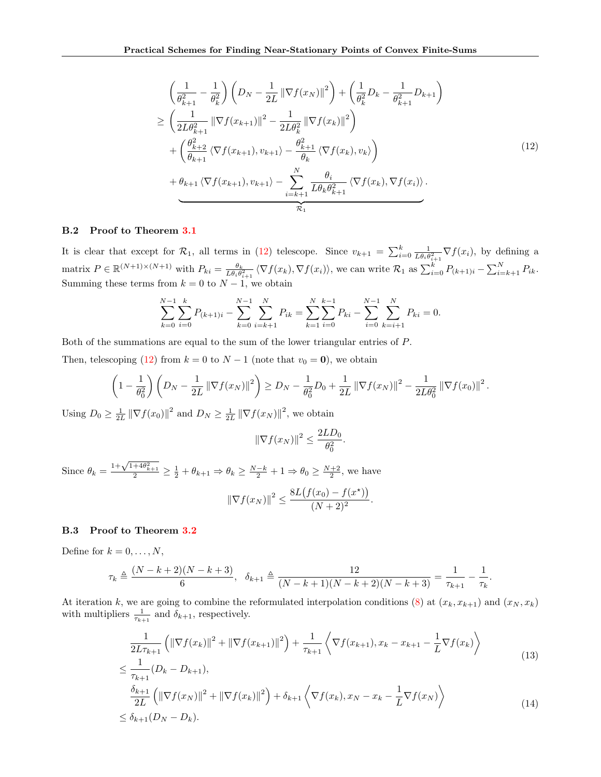<span id="page-13-0"></span>
$$
\left(\frac{1}{\theta_{k+1}^2} - \frac{1}{\theta_k^2}\right) \left(D_N - \frac{1}{2L} \|\nabla f(x_N)\|^2\right) + \left(\frac{1}{\theta_k^2} D_k - \frac{1}{\theta_{k+1}^2} D_{k+1}\right)
$$
\n
$$
\geq \left(\frac{1}{2L\theta_{k+1}^2} \|\nabla f(x_{k+1})\|^2 - \frac{1}{2L\theta_k^2} \|\nabla f(x_k)\|^2\right)
$$
\n
$$
+ \left(\frac{\theta_{k+2}^2}{\theta_{k+1}} \langle \nabla f(x_{k+1}), v_{k+1} \rangle - \frac{\theta_{k+1}^2}{\theta_k} \langle \nabla f(x_k), v_k \rangle\right)
$$
\n
$$
+ \theta_{k+1} \langle \nabla f(x_{k+1}), v_{k+1} \rangle - \sum_{i=k+1}^N \frac{\theta_i}{L\theta_k \theta_{k+1}^2} \langle \nabla f(x_k), \nabla f(x_i) \rangle.
$$
\n(12)

#### <span id="page-13-3"></span>B.2 Proof to Theorem [3.1](#page-3-8)

It is clear that except for  $\mathcal{R}_1$ , all terms in [\(12\)](#page-13-0) telescope. Since  $v_{k+1} = \sum_{i=0}^k \frac{1}{L\theta_i \theta_{i+1}^2} \nabla f(x_i)$ , by defining a matrix  $P \in \mathbb{R}^{(N+1)\times(N+1)}$  with  $P_{ki} = \frac{\theta_k}{L\theta_i\theta_{i+1}^2} \langle \nabla f(x_k), \nabla f(x_i) \rangle$ , we can write  $\mathcal{R}_1$  as  $\sum_{i=0}^k P_{(k+1)i} - \sum_{i=k+1}^N P_{ik}$ . Summing these terms from  $k = 0$  to  $N - 1$ , we obtain

$$
\sum_{k=0}^{N-1} \sum_{i=0}^{k} P_{(k+1)i} - \sum_{k=0}^{N-1} \sum_{i=k+1}^{N} P_{ik} = \sum_{k=1}^{N} \sum_{i=0}^{k-1} P_{ki} - \sum_{i=0}^{N-1} \sum_{k=i+1}^{N} P_{ki} = 0.
$$

Both of the summations are equal to the sum of the lower triangular entries of P.

Then, telescoping [\(12\)](#page-13-0) from  $k = 0$  to  $N - 1$  (note that  $v_0 = 0$ ), we obtain

$$
\left(1 - \frac{1}{\theta_0^2}\right) \left(D_N - \frac{1}{2L} \|\nabla f(x_N)\|^2\right) \ge D_N - \frac{1}{\theta_0^2}D_0 + \frac{1}{2L} \|\nabla f(x_N)\|^2 - \frac{1}{2L\theta_0^2} \|\nabla f(x_0)\|^2.
$$

Using  $D_0 \geq \frac{1}{2L} \left\| \nabla f(x_0) \right\|^2$  and  $D_N \geq \frac{1}{2L} \left\| \nabla f(x_N) \right\|^2$ , we obtain

<span id="page-13-2"></span><span id="page-13-1"></span>
$$
\|\nabla f(x_N)\|^2 \le \frac{2LD_0}{\theta_0^2}.
$$

Since  $\theta_k = \frac{1 + \sqrt{1 + 4\theta_{k+1}^2}}{2} \ge \frac{1}{2} + \theta_{k+1} \Rightarrow \theta_k \ge \frac{N-k}{2} + 1 \Rightarrow \theta_0 \ge \frac{N+2}{2}$ , we have  $\|\nabla f(x_N)\|^2 \leq \frac{8L(f(x_0) - f(x^*))}{(N+2)^2}$  $\frac{(\infty 0)^{j} (\infty)^{j}}{(N+2)^2}$ .

#### B.3 Proof to Theorem [3.2](#page-4-2)

Define for  $k = 0, \ldots, N$ ,

$$
\tau_k \triangleq \frac{(N-k+2)(N-k+3)}{6}, \quad \delta_{k+1} \triangleq \frac{12}{(N-k+1)(N-k+2)(N-k+3)} = \frac{1}{\tau_{k+1}} - \frac{1}{\tau_k}.
$$

At iteration k, we are going to combine the reformulated interpolation conditions [\(8\)](#page-12-1) at  $(x_k, x_{k+1})$  and  $(x_N, x_k)$ with multipliers  $\frac{1}{\tau_{k+1}}$  and  $\delta_{k+1}$ , respectively.

$$
\frac{1}{2L\tau_{k+1}} \left( \|\nabla f(x_k)\|^2 + \|\nabla f(x_{k+1})\|^2 \right) + \frac{1}{\tau_{k+1}} \left\langle \nabla f(x_{k+1}), x_k - x_{k+1} - \frac{1}{L} \nabla f(x_k) \right\rangle
$$
\n(13)

$$
\leq \frac{1}{\tau_{k+1}} (D_k - D_{k+1}),
$$
\n
$$
\frac{\delta_{k+1}}{2L} \left( \|\nabla f(x_N)\|^2 + \|\nabla f(x_k)\|^2 \right) + \delta_{k+1} \left\langle \nabla f(x_k), x_N - x_k - \frac{1}{L} \nabla f(x_N) \right\rangle
$$
\n
$$
\leq \delta_{k+1} (D_N - D_k).
$$
\n(14)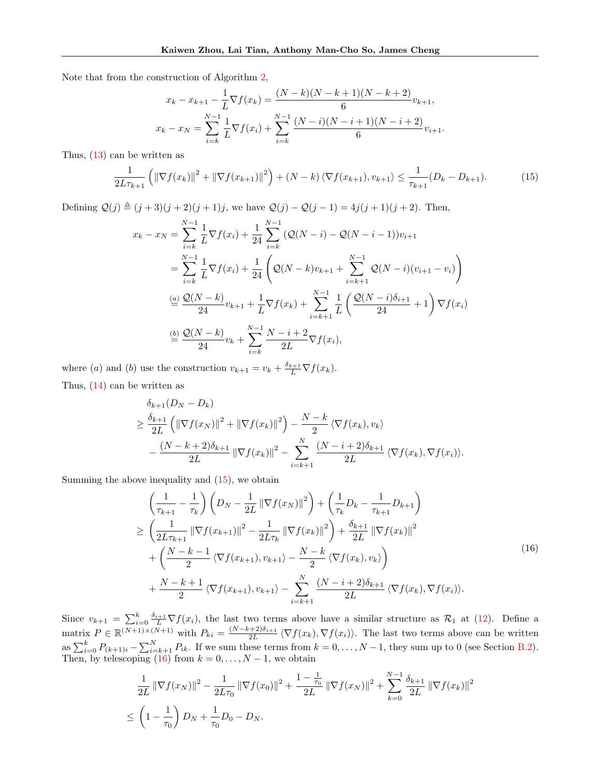Note that from the construction of Algorithm [2,](#page-3-4)

$$
x_k - x_{k+1} - \frac{1}{L} \nabla f(x_k) = \frac{(N-k)(N-k+1)(N-k+2)}{6} v_{k+1},
$$
  

$$
x_k - x_N = \sum_{i=k}^{N-1} \frac{1}{L} \nabla f(x_i) + \sum_{i=k}^{N-1} \frac{(N-i)(N-i+1)(N-i+2)}{6} v_{i+1}.
$$

Thus, [\(13\)](#page-13-1) can be written as

<span id="page-14-0"></span>
$$
\frac{1}{2L\tau_{k+1}}\left(\|\nabla f(x_k)\|^2 + \|\nabla f(x_{k+1})\|^2\right) + (N-k)\left\langle \nabla f(x_{k+1}), v_{k+1}\right\rangle \le \frac{1}{\tau_{k+1}}(D_k - D_{k+1}).\tag{15}
$$

Defining  $Q(j) \triangleq (j + 3)(j + 2)(j + 1)j$ , we have  $Q(j) - Q(j - 1) = 4j(j + 1)(j + 2)$ . Then,

$$
x_{k} - x_{N} = \sum_{i=k}^{N-1} \frac{1}{L} \nabla f(x_{i}) + \frac{1}{24} \sum_{i=k}^{N-1} (\mathcal{Q}(N-i) - \mathcal{Q}(N-i-1))v_{i+1}
$$
  
\n
$$
= \sum_{i=k}^{N-1} \frac{1}{L} \nabla f(x_{i}) + \frac{1}{24} \left( \mathcal{Q}(N-k)v_{k+1} + \sum_{i=k+1}^{N-1} \mathcal{Q}(N-i)(v_{i+1} - v_{i}) \right)
$$
  
\n
$$
\stackrel{(a)}{=} \frac{\mathcal{Q}(N-k)}{24} v_{k+1} + \frac{1}{L} \nabla f(x_{k}) + \sum_{i=k+1}^{N-1} \frac{1}{L} \left( \frac{\mathcal{Q}(N-i)\delta_{i+1}}{24} + 1 \right) \nabla f(x_{i})
$$
  
\n
$$
\stackrel{(b)}{=} \frac{\mathcal{Q}(N-k)}{24} v_{k} + \sum_{i=k}^{N-1} \frac{N-i+2}{2L} \nabla f(x_{i}),
$$

where (a) and (b) use the construction  $v_{k+1} = v_k + \frac{\delta_{k+1}}{L} \nabla f(x_k)$ . Thus, [\(14\)](#page-13-2) can be written as

$$
\delta_{k+1}(D_N - D_k)
$$
\n
$$
\geq \frac{\delta_{k+1}}{2L} \left( \|\nabla f(x_N)\|^2 + \|\nabla f(x_k)\|^2 \right) - \frac{N-k}{2} \left\langle \nabla f(x_k), v_k \right\rangle
$$
\n
$$
- \frac{(N-k+2)\delta_{k+1}}{2L} \left\| \nabla f(x_k) \right\|^2 - \sum_{i=k+1}^N \frac{(N-i+2)\delta_{k+1}}{2L} \left\langle \nabla f(x_k), \nabla f(x_i) \right\rangle.
$$

Summing the above inequality and [\(15\)](#page-14-0), we obtain

<span id="page-14-1"></span>
$$
\left(\frac{1}{\tau_{k+1}} - \frac{1}{\tau_k}\right) \left(D_N - \frac{1}{2L} \|\nabla f(x_N)\|^2\right) + \left(\frac{1}{\tau_k}D_k - \frac{1}{\tau_{k+1}}D_{k+1}\right) \n\ge \left(\frac{1}{2L\tau_{k+1}} \|\nabla f(x_{k+1})\|^2 - \frac{1}{2L\tau_k} \|\nabla f(x_k)\|^2\right) + \frac{\delta_{k+1}}{2L} \|\nabla f(x_k)\|^2 \n+ \left(\frac{N-k-1}{2} \langle \nabla f(x_{k+1}), v_{k+1} \rangle - \frac{N-k}{2} \langle \nabla f(x_k), v_k \rangle\right) \n+ \frac{N-k+1}{2} \langle \nabla f(x_{k+1}), v_{k+1} \rangle - \sum_{i=k+1}^N \frac{(N-i+2)\delta_{k+1}}{2L} \langle \nabla f(x_k), \nabla f(x_i) \rangle.
$$
\n(16)

Since  $v_{k+1} = \sum_{i=0}^{k} \frac{\delta_{i+1}}{L} \nabla f(x_i)$ , the last two terms above have a similar structure as  $\mathcal{R}_1$  at [\(12\)](#page-13-0). Define a matrix  $P \in \mathbb{R}^{(N+1)\times(N+1)}$  with  $P_{ki} = \frac{(N-k+2)\delta_{i+1}}{2L} \langle \nabla f(x_k), \nabla f(x_i) \rangle$ . The last two terms above can be written as  $\sum_{i=0}^{k} P_{(k+1)i} - \sum_{i=k+1}^{N} P_{ik}$ . If we sum these terms from  $k = 0, \ldots, N-1$ , they sum up to 0 (see Section [B.2\)](#page-13-3). Then, by telescoping [\(16\)](#page-14-1) from  $k = 0, \ldots, N-1$ , we obtain

$$
\frac{1}{2L} \|\nabla f(x_N)\|^2 - \frac{1}{2L\tau_0} \|\nabla f(x_0)\|^2 + \frac{1 - \frac{1}{\tau_0}}{2L} \|\nabla f(x_N)\|^2 + \sum_{k=0}^{N-1} \frac{\delta_{k+1}}{2L} \|\nabla f(x_k)\|^2
$$
  

$$
\leq \left(1 - \frac{1}{\tau_0}\right) D_N + \frac{1}{\tau_0} D_0 - D_N.
$$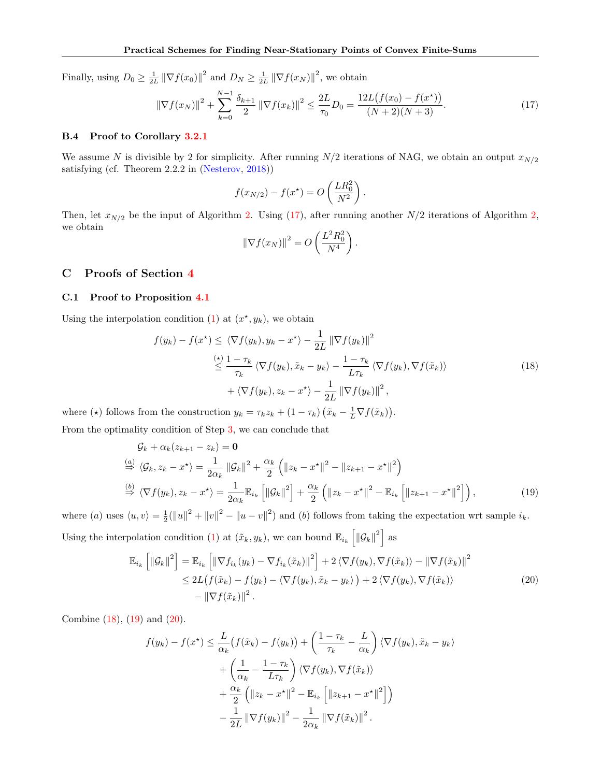Finally, using  $D_0 \geq \frac{1}{2L} \|\nabla f(x_0)\|^2$  and  $D_N \geq \frac{1}{2L} \|\nabla f(x_N)\|^2$ , we obtain

<span id="page-15-1"></span>
$$
\|\nabla f(x_N)\|^2 + \sum_{k=0}^{N-1} \frac{\delta_{k+1}}{2} \|\nabla f(x_k)\|^2 \le \frac{2L}{\tau_0} D_0 = \frac{12L\big(f(x_0) - f(x^*)\big)}{(N+2)(N+3)}.
$$
\n(17)

#### B.4 Proof to Corollary [3.2.1](#page-4-3)

We assume N is divisible by 2 for simplicity. After running  $N/2$  iterations of NAG, we obtain an output  $x_{N/2}$ satisfying (cf. Theorem 2.2.2 in [\(Nesterov,](#page-10-9) [2018\)](#page-10-9))

$$
f(x_{N/2}) - f(x^*) = O\left(\frac{LR_0^2}{N^2}\right).
$$

Then, let  $x_{N/2}$  be the input of Algorithm [2.](#page-3-4) Using [\(17\)](#page-15-1), after running another  $N/2$  iterations of Algorithm [2,](#page-3-4) we obtain

<span id="page-15-3"></span><span id="page-15-2"></span>
$$
\left\|\nabla f(x_N)\right\|^2 = O\left(\frac{L^2 R_0^2}{N^4}\right).
$$

# <span id="page-15-0"></span>C Proofs of Section [4](#page-4-0)

#### C.1 Proof to Proposition [4.1](#page-5-2)

Using the interpolation condition [\(1\)](#page-2-1) at  $(x^*, y_k)$ , we obtain

$$
f(y_k) - f(x^*) \le \langle \nabla f(y_k), y_k - x^* \rangle - \frac{1}{2L} \|\nabla f(y_k)\|^2
$$
  
\n
$$
\le \frac{\langle \cdot \rangle 1 - \tau_k}{\tau_k} \langle \nabla f(y_k), \tilde{x}_k - y_k \rangle - \frac{1 - \tau_k}{L\tau_k} \langle \nabla f(y_k), \nabla f(\tilde{x}_k) \rangle
$$
  
\n
$$
+ \langle \nabla f(y_k), z_k - x^* \rangle - \frac{1}{2L} \|\nabla f(y_k)\|^2,
$$
\n(18)

where ( $\star$ ) follows from the construction  $y_k = \tau_k z_k + (1 - \tau_k) (\tilde{x}_k - \frac{1}{L} \nabla f(\tilde{x}_k)).$ 

From the optimality condition of Step [3,](#page-4-1) we can conclude that

$$
\mathcal{G}_k + \alpha_k (z_{k+1} - z_k) = \mathbf{0}
$$
\n
$$
\stackrel{(a)}{\Rightarrow} \langle \mathcal{G}_k, z_k - x^* \rangle = \frac{1}{2\alpha_k} ||\mathcal{G}_k||^2 + \frac{\alpha_k}{2} (||z_k - x^*||^2 - ||z_{k+1} - x^*||^2)
$$
\n
$$
\stackrel{(b)}{\Rightarrow} \langle \nabla f(y_k), z_k - x^* \rangle = \frac{1}{2\alpha_k} \mathbb{E}_{i_k} [||\mathcal{G}_k||^2] + \frac{\alpha_k}{2} (||z_k - x^*||^2 - \mathbb{E}_{i_k} [||z_{k+1} - x^*||^2]),
$$
\n(19)

where (a) uses  $\langle u, v \rangle = \frac{1}{2} (||u||^2 + ||v||^2 - ||u - v||^2)$  and (b) follows from taking the expectation wrt sample  $i_k$ . Using the interpolation condition [\(1\)](#page-2-1) at  $(\tilde{x}_k, y_k)$ , we can bound  $\mathbb{E}_{i_k} \left[ \|\mathcal{G}_k\|^2 \right]$  as

$$
\mathbb{E}_{i_k} \left[ \|\mathcal{G}_k\|^2 \right] = \mathbb{E}_{i_k} \left[ \|\nabla f_{i_k}(y_k) - \nabla f_{i_k}(\tilde{x}_k)\|^2 \right] + 2 \langle \nabla f(y_k), \nabla f(\tilde{x}_k) \rangle - \|\nabla f(\tilde{x}_k)\|^2
$$
  
\n
$$
\leq 2L \left( f(\tilde{x}_k) - f(y_k) - \langle \nabla f(y_k), \tilde{x}_k - y_k \rangle \right) + 2 \langle \nabla f(y_k), \nabla f(\tilde{x}_k) \rangle
$$
  
\n
$$
- \|\nabla f(\tilde{x}_k)\|^2.
$$
\n(20)

Combine [\(18\)](#page-15-2), [\(19\)](#page-15-3) and [\(20\)](#page-15-4).

<span id="page-15-4"></span>
$$
f(y_k) - f(x^*) \le \frac{L}{\alpha_k} \left( f(\tilde{x}_k) - f(y_k) \right) + \left( \frac{1 - \tau_k}{\tau_k} - \frac{L}{\alpha_k} \right) \langle \nabla f(y_k), \tilde{x}_k - y_k \rangle
$$
  
+ 
$$
\left( \frac{1}{\alpha_k} - \frac{1 - \tau_k}{L\tau_k} \right) \langle \nabla f(y_k), \nabla f(\tilde{x}_k) \rangle
$$
  
+ 
$$
\frac{\alpha_k}{2} \left( \| z_k - x^* \|^2 - \mathbb{E}_{i_k} \left[ \| z_{k+1} - x^* \|^2 \right] \right)
$$
  
- 
$$
\frac{1}{2L} \left\| \nabla f(y_k) \right\|^2 - \frac{1}{2\alpha_k} \left\| \nabla f(\tilde{x}_k) \right\|^2.
$$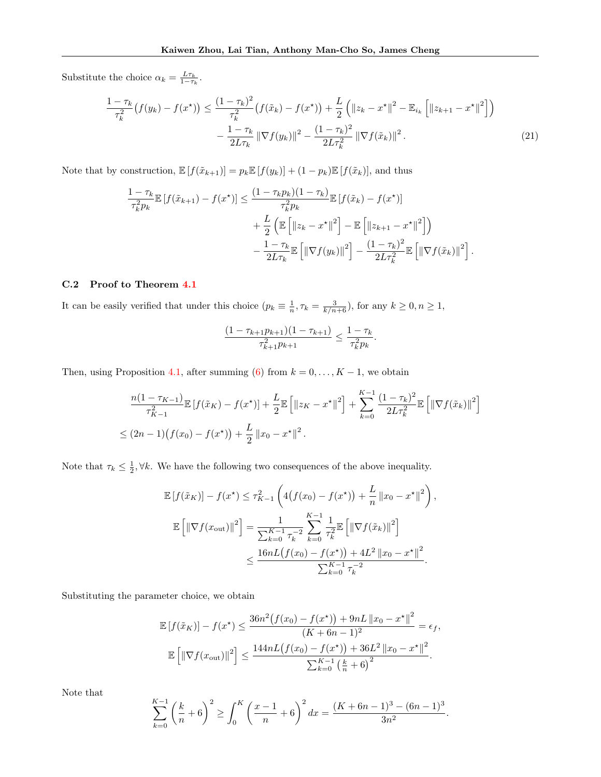Substitute the choice  $\alpha_k = \frac{L\tau_k}{1-\tau_k}$ .

$$
\frac{1-\tau_{k}}{\tau_{k}^{2}}\left(f(y_{k})-f(x^{\star})\right) \leq \frac{(1-\tau_{k})^{2}}{\tau_{k}^{2}}\left(f(\tilde{x}_{k})-f(x^{\star})\right) + \frac{L}{2}\left(\|z_{k}-x^{\star}\|^{2}-\mathbb{E}_{i_{k}}\left[\|z_{k+1}-x^{\star}\|^{2}\right]\right) \n-\frac{1-\tau_{k}}{2L\tau_{k}}\left\|\nabla f(y_{k})\right\|^{2} - \frac{(1-\tau_{k})^{2}}{2L\tau_{k}^{2}}\left\|\nabla f(\tilde{x}_{k})\right\|^{2}.
$$
\n(21)

Note that by construction,  $\mathbb{E}[f(\tilde{x}_{k+1})] = p_k \mathbb{E}[f(y_k)] + (1 - p_k) \mathbb{E}[f(\tilde{x}_k)]$ , and thus

$$
\frac{1-\tau_k}{\tau_k^2 p_k} \mathbb{E}\left[f(\tilde{x}_{k+1}) - f(x^\star)\right] \le \frac{(1-\tau_k p_k)(1-\tau_k)}{\tau_k^2 p_k} \mathbb{E}\left[f(\tilde{x}_k) - f(x^\star)\right] \n+ \frac{L}{2} \left(\mathbb{E}\left[\left\|z_k - x^\star\right\|^2\right] - \mathbb{E}\left[\left\|z_{k+1} - x^\star\right\|^2\right]\right) \n- \frac{1-\tau_k}{2L\tau_k} \mathbb{E}\left[\left\|\nabla f(y_k)\right\|^2\right] - \frac{(1-\tau_k)^2}{2L\tau_k^2} \mathbb{E}\left[\left\|\nabla f(\tilde{x}_k)\right\|^2\right].
$$

### C.2 Proof to Theorem [4.1](#page-5-3)

It can be easily verified that under this choice  $(p_k \equiv \frac{1}{n}, \tau_k = \frac{3}{k/n+6})$ , for any  $k \ge 0, n \ge 1$ ,

<span id="page-16-0"></span>
$$
\frac{(1-\tau_{k+1}p_{k+1})(1-\tau_{k+1})}{\tau_{k+1}^2p_{k+1}} \le \frac{1-\tau_k}{\tau_k^2p_k}.
$$

Then, using Proposition [4.1,](#page-5-2) after summing [\(6\)](#page-5-4) from  $k = 0, ..., K - 1$ , we obtain

$$
\frac{n(1-\tau_{K-1})}{\tau_{K-1}^2} \mathbb{E}\left[f(\tilde{x}_K) - f(x^*)\right] + \frac{L}{2} \mathbb{E}\left[\left\|z_K - x^*\right\|^2\right] + \sum_{k=0}^{K-1} \frac{(1-\tau_k)^2}{2L\tau_k^2} \mathbb{E}\left[\left\|\nabla f(\tilde{x}_k)\right\|^2\right] \leq (2n-1)\big(f(x_0) - f(x^*)\big) + \frac{L}{2} \left\|x_0 - x^*\right\|^2.
$$

Note that  $\tau_k \leq \frac{1}{2}$ ,  $\forall k$ . We have the following two consequences of the above inequality.

$$
\mathbb{E}\left[f(\tilde{x}_K)\right] - f(x^\star) \le \tau_{K-1}^2 \left(4\big(f(x_0) - f(x^\star)\big) + \frac{L}{n} \|x_0 - x^\star\|^2\right),
$$
  

$$
\mathbb{E}\left[\|\nabla f(x_{\text{out}})\|^2\right] = \frac{1}{\sum_{k=0}^{K-1} \tau_k^{-2}} \sum_{k=0}^{K-1} \frac{1}{\tau_k^2} \mathbb{E}\left[\|\nabla f(\tilde{x}_k)\|^2\right]
$$
  

$$
\le \frac{16nL\big(f(x_0) - f(x^\star)\big) + 4L^2 \|x_0 - x^\star\|^2}{\sum_{k=0}^{K-1} \tau_k^{-2}}.
$$

Substituting the parameter choice, we obtain

$$
\mathbb{E}\left[f(\tilde{x}_K)\right] - f(x^*) \le \frac{36n^2\big(f(x_0) - f(x^*)\big) + 9nL\left\|x_0 - x^*\right\|^2}{(K + 6n - 1)^2} = \epsilon_f,
$$
\n
$$
\mathbb{E}\left[\left\|\nabla f(x_{\text{out}})\right\|^2\right] \le \frac{144nL\big(f(x_0) - f(x^*)\big) + 36L^2\left\|x_0 - x^*\right\|^2}{\sum_{k=0}^{K-1} \left(\frac{k}{n} + 6\right)^2}.
$$

Note that

$$
\sum_{k=0}^{K-1} \left(\frac{k}{n} + 6\right)^2 \ge \int_0^K \left(\frac{x-1}{n} + 6\right)^2 dx = \frac{(K+6n-1)^3 - (6n-1)^3}{3n^2}.
$$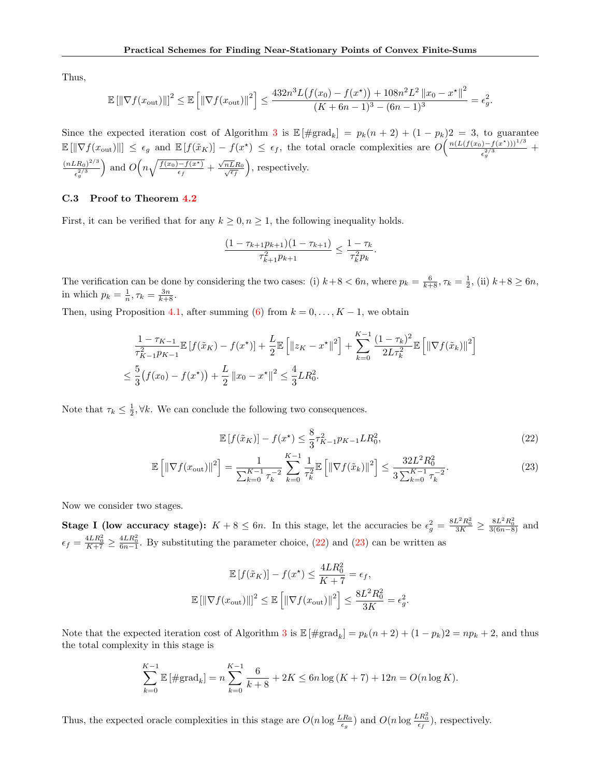Thus,

$$
\mathbb{E}[\|\nabla f(x_{\text{out}})\|]^{2} \leq \mathbb{E}\left[\|\nabla f(x_{\text{out}})\|^{2}\right] \leq \frac{432n^{3}L\big(f(x_{0}) - f(x^{\star})\big) + 108n^{2}L^{2}\left\|x_{0} - x^{\star}\right\|^{2}}{(K + 6n - 1)^{3} - (6n - 1)^{3}} = \epsilon_{g}^{2}.
$$

Since the expected iteration cost of Algorithm [3](#page-4-1) is  $\mathbb{E}[\#\text{grad}_k] = p_k(n+2) + (1-p_k)2 = 3$ , to guarantee  $\mathbb{E}[\|\nabla f(x_{\text{out}})\|] \leq \epsilon_g$  and  $\mathbb{E}[f(\tilde{x}_K)] - f(x^*) \leq \epsilon_f$ , the total oracle complexities are  $O\left(\frac{n(L(f(x_0)-f(x^*))^{1/3}}{2/3}\right)$  $\frac{(-1)^{-1} (x)}{\epsilon_g^{2/3}}$  +  $(nLR_0)^{2/3}$  $\epsilon_g^{2/3}$ ) and  $O\left(n\sqrt{\frac{f(x_0)-f(x^*)}{\epsilon_f}} + \frac{\sqrt{2}}{f(x_0)+f(x^*)}\right)$  $\sqrt{nL}R_0/\sqrt{\epsilon_f}$ , respectively.

#### C.3 Proof to Theorem [4.2](#page-5-1)

First, it can be verified that for any  $k \geq 0, n \geq 1$ , the following inequality holds.

$$
\frac{(1 - \tau_{k+1}p_{k+1})(1 - \tau_{k+1})}{\tau_{k+1}^2 p_{k+1}} \le \frac{1 - \tau_k}{\tau_k^2 p_k}.
$$

The verification can be done by considering the two cases: (i)  $k+8 < 6n$ , where  $p_k = \frac{6}{k+8}, \tau_k = \frac{1}{2}$ , (ii)  $k+8 \ge 6n$ , in which  $p_k = \frac{1}{n}, \tau_k = \frac{3n}{k+8}.$ 

Then, using Proposition [4.1,](#page-5-2) after summing [\(6\)](#page-5-4) from  $k = 0, \ldots, K - 1$ , we obtain

$$
\frac{1 - \tau_{K-1}}{\tau_{K-1}^2 p_{K-1}} \mathbb{E} \left[ f(\tilde{x}_K) - f(x^*) \right] + \frac{L}{2} \mathbb{E} \left[ \| z_K - x^* \|^2 \right] + \sum_{k=0}^{K-1} \frac{(1 - \tau_k)^2}{2L\tau_k^2} \mathbb{E} \left[ \| \nabla f(\tilde{x}_k) \|^2 \right]
$$
  

$$
\leq \frac{5}{3} \left( f(x_0) - f(x^*) \right) + \frac{L}{2} \left\| x_0 - x^* \right\|^2 \leq \frac{4}{3} L R_0^2.
$$

Note that  $\tau_k \leq \frac{1}{2}$ ,  $\forall k$ . We can conclude the following two consequences.

<span id="page-17-1"></span><span id="page-17-0"></span>
$$
\mathbb{E}\left[f(\tilde{x}_K)\right] - f(x^\star) \le \frac{8}{3}\tau_{K-1}^2 p_{K-1} L R_0^2,\tag{22}
$$

$$
\mathbb{E}\left[\left\|\nabla f(x_{\text{out}})\right\|^2\right] = \frac{1}{\sum_{k=0}^{K-1} \tau_k^{-2}} \sum_{k=0}^{K-1} \frac{1}{\tau_k^2} \mathbb{E}\left[\left\|\nabla f(\tilde{x}_k)\right\|^2\right] \le \frac{32L^2 R_0^2}{3\sum_{k=0}^{K-1} \tau_k^{-2}}.\tag{23}
$$

Now we consider two stages.

**Stage I (low accuracy stage):**  $K + 8 \le 6n$ . In this stage, let the accuracies be  $\epsilon_g^2 = \frac{8L^2R_0^2}{3K} \ge \frac{8L^2R_0^2}{3(6n-8)}$  and  $\epsilon_f = \frac{4LR_0^2}{K+7} \ge \frac{4LR_0^2}{6n-1}$ . By substituting the parameter choice, [\(22\)](#page-17-0) and [\(23\)](#page-17-1) can be written as

$$
\mathbb{E}\left[f(\tilde{x}_K)\right] - f(x^\star) \le \frac{4LR_0^2}{K+7} = \epsilon_f,
$$
  

$$
\mathbb{E}\left[\|\nabla f(x_{\text{out}})\|\right]^2 \le \mathbb{E}\left[\|\nabla f(x_{\text{out}})\|^2\right] \le \frac{8L^2R_0^2}{3K} = \epsilon_g^2.
$$

Note that the expected iteration cost of Algorithm [3](#page-4-1) is  $\mathbb{E}[\#\text{grad}_k] = p_k(n+2) + (1-p_k)2 = np_k + 2$ , and thus the total complexity in this stage is

$$
\sum_{k=0}^{K-1} \mathbb{E} \left[ \# \text{grad}_k \right] = n \sum_{k=0}^{K-1} \frac{6}{k+8} + 2K \le 6n \log (K+7) + 12n = O(n \log K).
$$

Thus, the expected oracle complexities in this stage are  $O(n \log \frac{LR_0}{\epsilon_g})$  and  $O(n \log \frac{LR_0^2}{\epsilon_f})$ , respectively.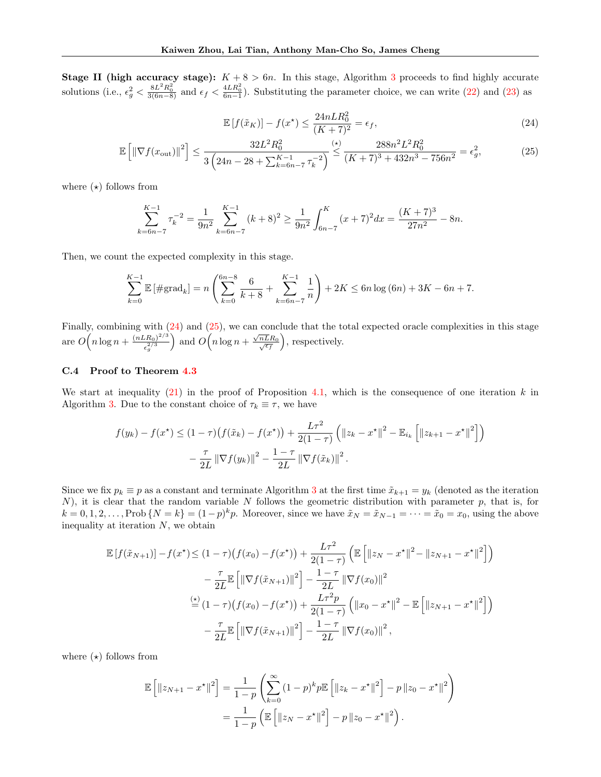**Stage II (high accuracy stage):**  $K + 8 > 6n$ . In this stage, Algorithm [3](#page-4-1) proceeds to find highly accurate solutions (i.e.,  $\epsilon_g^2 < \frac{8L^2R_0^2}{3(6n-8)}$  and  $\epsilon_f < \frac{4LR_0^2}{6n-1}$ ). Substituting the parameter choice, we can write [\(22\)](#page-17-0) and [\(23\)](#page-17-1) as

<span id="page-18-1"></span><span id="page-18-0"></span>
$$
\mathbb{E}\left[f(\tilde{x}_K)\right] - f(x^\star) \le \frac{24nLR_0^2}{(K+7)^2} = \epsilon_f,\tag{24}
$$

$$
\mathbb{E}\left[\left\|\nabla f(x_{\text{out}})\right\|^2\right] \le \frac{32L^2 R_0^2}{3\left(24n - 28 + \sum_{k=6n-7}^{K-1} \tau_k^{-2}\right)} \le \frac{288n^2 L^2 R_0^2}{(K+7)^3 + 432n^3 - 756n^2} = \epsilon_g^2,\tag{25}
$$

where  $(\star)$  follows from

$$
\sum_{k=6n-7}^{K-1} \tau_k^{-2} = \frac{1}{9n^2} \sum_{k=6n-7}^{K-1} (k+8)^2 \ge \frac{1}{9n^2} \int_{6n-7}^{K} (x+7)^2 dx = \frac{(K+7)^3}{27n^2} - 8n.
$$

Then, we count the expected complexity in this stage.

$$
\sum_{k=0}^{K-1} \mathbb{E}\left[\#\text{grad}_k\right] = n\left(\sum_{k=0}^{6n-8} \frac{6}{k+8} + \sum_{k=6n-7}^{K-1} \frac{1}{n}\right) + 2K \le 6n\log(6n) + 3K - 6n + 7.
$$

Finally, combining with [\(24\)](#page-18-0) and [\(25\)](#page-18-1), we can conclude that the total expected oracle complexities in this stage are  $O(n \log n + \frac{(nLR_0)^{2/3}}{2/3})$  $\epsilon_g^{2/3}$ and  $O(n \log n + \frac{\sqrt{2}}{n})$  $\sqrt{nL}R_0/\sqrt{\epsilon_f}$ , respectively.

## C.4 Proof to Theorem [4.3](#page-6-2)

We start at inequality  $(21)$  in the proof of Proposition [4.1,](#page-5-2) which is the consequence of one iteration k in Algorithm [3.](#page-4-1) Due to the constant choice of  $\tau_k \equiv \tau$ , we have

$$
f(y_k) - f(x^*) \le (1 - \tau) \left( f(\tilde{x}_k) - f(x^*) \right) + \frac{L\tau^2}{2(1 - \tau)} \left( \|z_k - x^*\|^2 - \mathbb{E}_{i_k} \left[ \|z_{k+1} - x^*\|^2 \right] \right) - \frac{\tau}{2L} \left\| \nabla f(y_k) \right\|^2 - \frac{1 - \tau}{2L} \left\| \nabla f(\tilde{x}_k) \right\|^2.
$$

Since we fix  $p_k \equiv p$  as a constant and terminate Algorithm [3](#page-4-1) at the first time  $\tilde{x}_{k+1} = y_k$  (denoted as the iteration  $N$ ), it is clear that the random variable N follows the geometric distribution with parameter  $p$ , that is, for  $k = 0, 1, 2, \ldots, \text{Prob}\{N = k\} = (1-p)^k p$ . Moreover, since we have  $\tilde{x}_N = \tilde{x}_{N-1} = \cdots = \tilde{x}_0 = x_0$ , using the above inequality at iteration  $N$ , we obtain

$$
\mathbb{E}\left[f(\tilde{x}_{N+1})\right] - f(x^*) \leq (1-\tau)\left(f(x_0) - f(x^*)\right) + \frac{L\tau^2}{2(1-\tau)} \left(\mathbb{E}\left[\|z_N - x^*\|^2 - \|z_{N+1} - x^*\|^2\right]\right) \n- \frac{\tau}{2L} \mathbb{E}\left[\|\nabla f(\tilde{x}_{N+1})\|^2\right] - \frac{1-\tau}{2L} \|\nabla f(x_0)\|^2 \n\stackrel{\left(\star\right)}{=} (1-\tau)\left(f(x_0) - f(x^*)\right) + \frac{L\tau^2 p}{2(1-\tau)} \left(\|x_0 - x^*\|^2 - \mathbb{E}\left[\|z_{N+1} - x^*\|^2\right]\right) \n- \frac{\tau}{2L} \mathbb{E}\left[\|\nabla f(\tilde{x}_{N+1})\|^2\right] - \frac{1-\tau}{2L} \|\nabla f(x_0)\|^2,
$$

where  $(\star)$  follows from

$$
\mathbb{E}\left[\|z_{N+1} - x^{\star}\|^2\right] = \frac{1}{1-p} \left(\sum_{k=0}^{\infty} (1-p)^k p \mathbb{E}\left[\|z_k - x^{\star}\|^2\right] - p \|z_0 - x^{\star}\|^2\right)
$$

$$
= \frac{1}{1-p} \left(\mathbb{E}\left[\|z_N - x^{\star}\|^2\right] - p \|z_0 - x^{\star}\|^2\right).
$$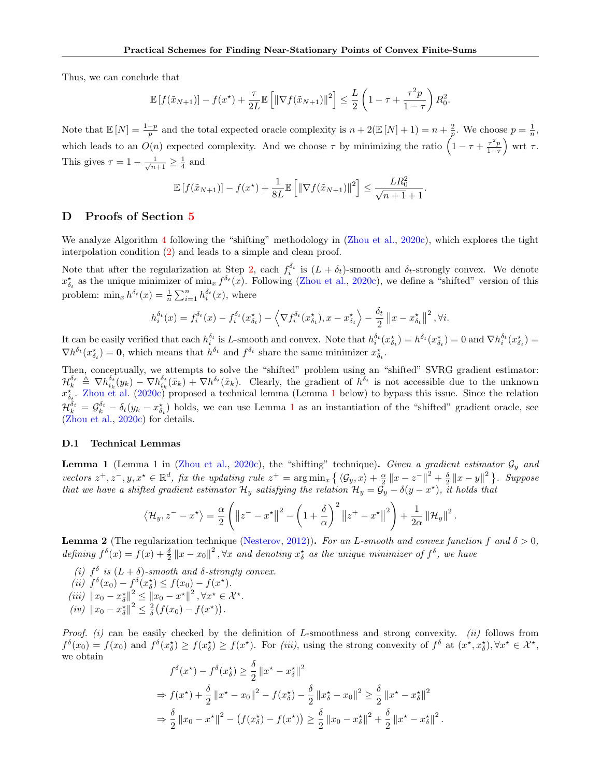Thus, we can conclude that

$$
\mathbb{E}\left[f(\tilde{x}_{N+1})\right] - f(x^*) + \frac{\tau}{2L} \mathbb{E}\left[\left\|\nabla f(\tilde{x}_{N+1})\right\|^2\right] \le \frac{L}{2} \left(1 - \tau + \frac{\tau^2 p}{1 - \tau}\right) R_0^2.
$$

Note that  $\mathbb{E}[N] = \frac{1-p}{p}$  and the total expected oracle complexity is  $n + 2(\mathbb{E}[N] + 1) = n + \frac{2}{p}$ . We choose  $p = \frac{1}{n}$ , which leads to an  $O(n)$  expected complexity. And we choose  $\tau$  by minimizing the ratio  $\left(1 - \tau + \frac{\tau^2 p}{1 - \tau}\right)$  wrt  $\tau$ . This gives  $\tau = 1 - \frac{1}{\sqrt{n+1}} \geq \frac{1}{4}$  and

$$
\mathbb{E}[f(\tilde{x}_{N+1})] - f(x^*) + \frac{1}{8L} \mathbb{E}\left[\|\nabla f(\tilde{x}_{N+1})\|^2\right] \le \frac{LR_0^2}{\sqrt{n+1} + 1}.
$$

## <span id="page-19-0"></span>D Proofs of Section [5](#page-6-0)

We analyze Algorithm [4](#page-6-3) following the "shifting" methodology in [\(Zhou et al.,](#page-10-13) [2020c\)](#page-10-13), which explores the tight interpolation condition [\(2\)](#page-2-5) and leads to a simple and clean proof.

Note that after the regularization at Step [2,](#page-6-3) each  $f_i^{\delta_t}$  is  $(L + \delta_t)$ -smooth and  $\delta_t$ -strongly convex. We denote  $x_{\delta_t}^{\star}$  as the unique minimizer of  $\min_x f^{\delta_t}(x)$ . Following [\(Zhou et al.,](#page-10-13) [2020c\)](#page-10-13), we define a "shifted" version of this problem:  $\min_x h^{\delta_t}(x) = \frac{1}{n} \sum_{i=1}^n h_i^{\delta_t}(x)$ , where

$$
h_i^{\delta_t}(x) = f_i^{\delta_t}(x) - f_i^{\delta_t}(x_{\delta_t}^{\star}) - \left\langle \nabla f_i^{\delta_t}(x_{\delta_t}^{\star}), x - x_{\delta_t}^{\star} \right\rangle - \frac{\delta_t}{2} ||x - x_{\delta_t}^{\star}||^2, \forall i.
$$

It can be easily verified that each  $h_i^{\delta_t}$  is L-smooth and convex. Note that  $h_i^{\delta_t}(x_{\delta_t}^{\star}) = h^{\delta_t}(x_{\delta_t}^{\star}) = 0$  and  $\nabla h_i^{\delta_t}(x_{\delta_t}^{\star}) =$  $\nabla h^{\delta_t}(x_{\delta_t}^{\star}) = \mathbf{0}$ , which means that  $h^{\delta_t}$  and  $f^{\delta_t}$  share the same minimizer  $x_{\delta_t}^{\star}$ .

Then, conceptually, we attempts to solve the "shifted" problem using an "shifted" SVRG gradient estimator:  $\mathcal{H}_k^{\delta_t} \triangleq \nabla h_{i_k}^{\delta_t}(y_k) - \nabla h_{i_k}^{\delta_t}(\tilde{x}_k) + \nabla h_{i_k}^{\delta_t}(\tilde{x}_k).$  Clearly, the gradient of  $h^{\delta_t}$  is not accessible due to the unknown  $x_{\delta_t}^{\star}$ . [Zhou et al.](#page-10-13) [\(2020c\)](#page-10-13) proposed a technical lemma (Lemma [1](#page-19-1) below) to bypass this issue. Since the relation  $\mathcal{H}_k^{\delta_t} = \mathcal{G}_k^{\delta_t} - \delta_t(y_k - x_{\delta_t}^{\star})$  holds, we can use Lemma [1](#page-19-1) as an instantiation of the "shifted" gradient oracle, see [\(Zhou et al.,](#page-10-13) [2020c\)](#page-10-13) for details.

### D.1 Technical Lemmas

<span id="page-19-1"></span>**Lemma 1** (Lemma 1 in [\(Zhou et al.,](#page-10-13) [2020c\)](#page-10-13), the "shifting" technique). Given a gradient estimator  $\mathcal{G}_y$  and vectors  $z^+, z^-, y, x^* \in \mathbb{R}^d$ , fix the updating rule  $z^+ = \arg \min_x \left\{ \langle \mathcal{G}_y, x \rangle + \frac{\alpha}{2} ||x - z^-||^2 + \frac{\delta}{2} ||x - y||^2 \right\}$ . Suppose that we have a shifted gradient estimator  $\mathcal{H}_y$  satisfying the relation  $\mathcal{H}_y = \tilde{\mathcal{G}}_y - \delta(y - x^*)$ , it holds that

$$
\langle \mathcal{H}_y, z^- - x^{\star} \rangle = \frac{\alpha}{2} \left( \left\| z^- - x^{\star} \right\|^2 - \left( 1 + \frac{\delta}{\alpha} \right)^2 \left\| z^+ - x^{\star} \right\|^2 \right) + \frac{1}{2\alpha} \left\| \mathcal{H}_y \right\|^2.
$$

<span id="page-19-2"></span>**Lemma 2** (The regularization technique [\(Nesterov,](#page-10-3) [2012\)](#page-10-3)). For an L-smooth and convex function f and  $\delta > 0$ , defining  $f^{\delta}(x) = f(x) + \frac{\delta}{2} ||x - x_0||^2$ ,  $\forall x$  and denoting  $x^*_{\delta}$  as the unique minimizer of  $f^{\delta}$ , we have

- (i)  $f^{\delta}$  is  $(L + \delta)$ -smooth and  $\delta$ -strongly convex.
- (ii)  $f^{\delta}(x_0) f^{\delta}(x^{\star}_{\delta}) \leq f(x_0) f(x^{\star}).$
- (iii)  $||x_0 x_{\delta}^{\star}||^2 \le ||x_0 x^{\star}||^2$ ,  $\forall x^{\star} \in \mathcal{X}^{\star}$ .
- (iv)  $||x_0 x_{\delta}^{*}||^2 \le \frac{2}{\delta} (f(x_0) f(x^*)).$

*Proof.* (i) can be easily checked by the definition of L-smoothness and strong convexity. (ii) follows from  $f^{\delta}(x_0) = f(x_0)$  and  $f^{\delta}(x_{\delta}^{\star}) \ge f(x_{\delta}^{\star}) \ge f(x^{\star})$ . For *(iii)*, using the strong convexity of  $f^{\delta}$  at  $(x^{\star}, x_{\delta}^{\star})$ ,  $\forall x^{\star} \in \mathcal{X}^{\star}$ , we obtain

$$
f^{\delta}(x^*) - f^{\delta}(x^*_{\delta}) \ge \frac{\delta}{2} ||x^* - x^*_{\delta}||^2
$$
  
\n
$$
\Rightarrow f(x^*) + \frac{\delta}{2} ||x^* - x_0||^2 - f(x^*_{\delta}) - \frac{\delta}{2} ||x^*_{\delta} - x_0||^2 \ge \frac{\delta}{2} ||x^* - x^*_{\delta}||^2
$$
  
\n
$$
\Rightarrow \frac{\delta}{2} ||x_0 - x^*||^2 - (f(x^*_{\delta}) - f(x^*)) \ge \frac{\delta}{2} ||x_0 - x^*_{\delta}||^2 + \frac{\delta}{2} ||x^* - x^*_{\delta}||^2.
$$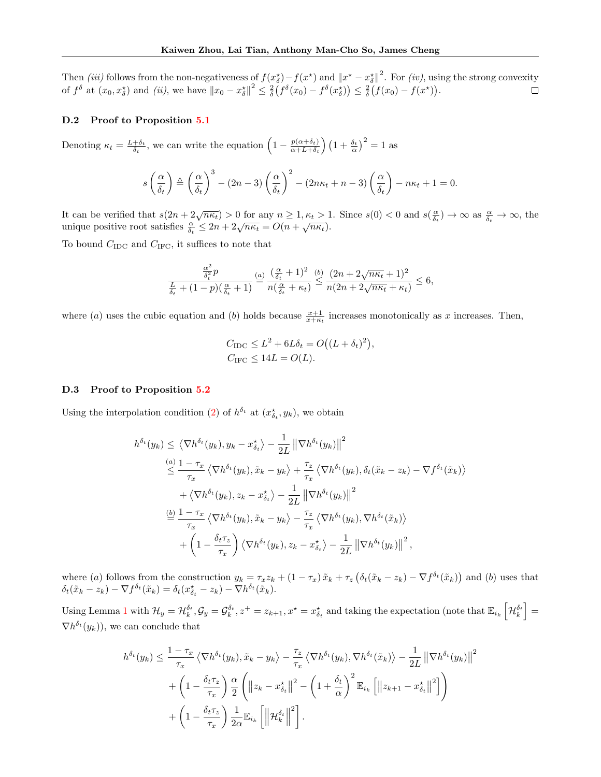Then (iii) follows from the non-negativeness of  $f(x_0^*) - f(x^*)$  and  $||x^* - x_0^*||^2$ . For (iv), using the strong convexity of  $f^{\delta}$  at  $(x_0, x^{\star}_{\delta})$  and *(ii)*, we have  $||x_0 - x^{\star}_{\delta}||^2 \le \frac{2}{\delta} (f^{\delta}(x_0) - f^{\delta}(x^{\star}_{\delta})) \le \frac{2}{\delta} (f(x_0) - f(x^{\star}))$ .

#### D.2 Proof to Proposition [5.1](#page-7-0)

Denoting  $\kappa_t = \frac{L+\delta_t}{\delta_t}$ , we can write the equation  $\left(1 - \frac{p(\alpha+\delta_t)}{\alpha + L + \delta_t}\right)$  $\frac{p(\alpha+\delta_t)}{\alpha+L+\delta_t}$   $\left(1+\frac{\delta_t}{\alpha}\right)^2=1$  as

$$
s\left(\frac{\alpha}{\delta_t}\right) \triangleq \left(\frac{\alpha}{\delta_t}\right)^3 - (2n-3)\left(\frac{\alpha}{\delta_t}\right)^2 - (2n\kappa_t + n - 3)\left(\frac{\alpha}{\delta_t}\right) - n\kappa_t + 1 = 0.
$$

It can be verified that  $s(2n+2\sqrt{n\kappa_t})>0$  for any  $n\geq 1, \kappa_t>1$ . Since  $s(0)<0$  and  $s(\frac{\alpha}{\delta_t})\to\infty$  as  $\frac{\alpha}{\delta_t}\to\infty$ , the To for any  $n \ge 1, \kappa t > 1$ <br>unique positive root satisfies  $\frac{\alpha}{\delta_t} \le 2n + 2\sqrt{n\kappa_t} = O(n + \sqrt{n\kappa_t}).$ 

To bound  $C_{\text{IDC}}$  and  $C_{\text{IFC}}$ , it suffices to note that

$$
\frac{\frac{\alpha^2}{\delta_t^2}p}{\frac{L}{\delta_t} + (1-p)(\frac{\alpha}{\delta_t} + 1)} \stackrel{(a)}{=} \frac{(\frac{\alpha}{\delta_t} + 1)^2}{n(\frac{\alpha}{\delta_t} + \kappa_t)} \stackrel{(b)}{\leq} \frac{(2n + 2\sqrt{n\kappa_t} + 1)^2}{n(2n + 2\sqrt{n\kappa_t} + \kappa_t)} \leq 6,
$$

where (a) uses the cubic equation and (b) holds because  $\frac{x+1}{x+\kappa_t}$  increases monotonically as x increases. Then,

$$
C_{\text{IDC}} \le L^2 + 6L\delta_t = O((L + \delta_t)^2),
$$
  

$$
C_{\text{IFC}} \le 14L = O(L).
$$

#### D.3 Proof to Proposition [5.2](#page-7-5)

Using the interpolation condition [\(2\)](#page-2-5) of  $h^{\delta_t}$  at  $(x_{\delta_t}^*, y_k)$ , we obtain

$$
h^{\delta_t}(y_k) \leq \left\langle \nabla h^{\delta_t}(y_k), y_k - x_{\delta_t}^{\star} \right\rangle - \frac{1}{2L} \left\| \nabla h^{\delta_t}(y_k) \right\|^2
$$
  
\n
$$
\leq \frac{1 - \tau_x}{\tau_x} \left\langle \nabla h^{\delta_t}(y_k), \tilde{x}_k - y_k \right\rangle + \frac{\tau_z}{\tau_x} \left\langle \nabla h^{\delta_t}(y_k), \delta_t(\tilde{x}_k - z_k) - \nabla f^{\delta_t}(\tilde{x}_k) \right\rangle
$$
  
\n
$$
+ \left\langle \nabla h^{\delta_t}(y_k), z_k - x_{\delta_t}^{\star} \right\rangle - \frac{1}{2L} \left\| \nabla h^{\delta_t}(y_k) \right\|^2
$$
  
\n
$$
\stackrel{(b)}{=} \frac{1 - \tau_x}{\tau_x} \left\langle \nabla h^{\delta_t}(y_k), \tilde{x}_k - y_k \right\rangle - \frac{\tau_z}{\tau_x} \left\langle \nabla h^{\delta_t}(y_k), \nabla h^{\delta_t}(\tilde{x}_k) \right\rangle
$$
  
\n
$$
+ \left(1 - \frac{\delta_t \tau_z}{\tau_x}\right) \left\langle \nabla h^{\delta_t}(y_k), z_k - x_{\delta_t}^{\star} \right\rangle - \frac{1}{2L} \left\| \nabla h^{\delta_t}(y_k) \right\|^2,
$$

where (a) follows from the construction  $y_k = \tau_x z_k + (1 - \tau_x) \tilde{x}_k + \tau_z \left( \delta_t (\tilde{x}_k - z_k) - \nabla f^{\delta_t} (\tilde{x}_k) \right)$  and (b) uses that  $\delta_t(\tilde{x}_k - z_k) - \nabla f^{\delta_t}(\tilde{x}_k) = \delta_t(x_{\delta_t}^{\star} - z_k) - \nabla h^{\delta_t}(\tilde{x}_k).$ 

Using Lemma [1](#page-19-1) with  $\mathcal{H}_y = \mathcal{H}_k^{\delta_t}$ ,  $\mathcal{G}_y = \mathcal{G}_k^{\delta_t}$ ,  $z^+ = z_{k+1}$ ,  $x^* = x_{\delta_t}^*$  and taking the expectation (note that  $\mathbb{E}_{i_k} \left[ \mathcal{H}_k^{\delta_t} \right] =$  $\nabla h^{\delta_t}(y_k)$ , we can conclude that

$$
h^{\delta_t}(y_k) \leq \frac{1 - \tau_x}{\tau_x} \left\langle \nabla h^{\delta_t}(y_k), \tilde{x}_k - y_k \right\rangle - \frac{\tau_z}{\tau_x} \left\langle \nabla h^{\delta_t}(y_k), \nabla h^{\delta_t}(\tilde{x}_k) \right\rangle - \frac{1}{2L} \left\| \nabla h^{\delta_t}(y_k) \right\|^2
$$

$$
+ \left( 1 - \frac{\delta_t \tau_z}{\tau_x} \right) \frac{\alpha}{2} \left( \left\| z_k - x_{\delta_t}^* \right\|^2 - \left( 1 + \frac{\delta_t}{\alpha} \right)^2 \mathbb{E}_{i_k} \left[ \left\| z_{k+1} - x_{\delta_t}^* \right\|^2 \right] \right)
$$

$$
+ \left( 1 - \frac{\delta_t \tau_z}{\tau_x} \right) \frac{1}{2\alpha} \mathbb{E}_{i_k} \left[ \left\| \mathcal{H}_k^{\delta_t} \right\|^2 \right].
$$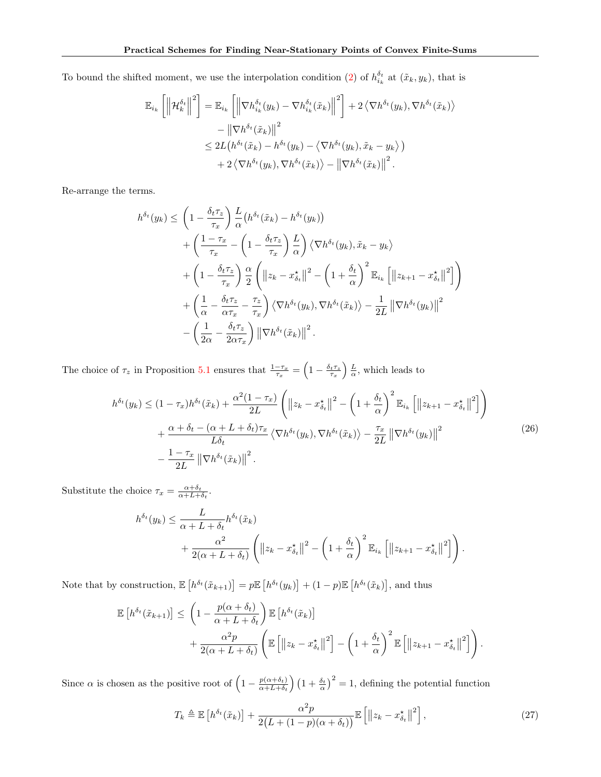To bound the shifted moment, we use the interpolation condition [\(2\)](#page-2-5) of  $h_{i_k}^{\delta_t}$  at  $(\tilde{x}_k, y_k)$ , that is

$$
\mathbb{E}_{i_k} \left[ \left\| \mathcal{H}_k^{\delta_t} \right\|^2 \right] = \mathbb{E}_{i_k} \left[ \left\| \nabla h_{i_k}^{\delta_t}(y_k) - \nabla h_{i_k}^{\delta_t}(\tilde{x}_k) \right\|^2 \right] + 2 \left\langle \nabla h^{\delta_t}(y_k), \nabla h^{\delta_t}(\tilde{x}_k) \right\rangle
$$
  
-  $\left\| \nabla h^{\delta_t}(\tilde{x}_k) \right\|^2$   

$$
\leq 2L \left( h^{\delta_t}(\tilde{x}_k) - h^{\delta_t}(y_k) - \left\langle \nabla h^{\delta_t}(y_k), \tilde{x}_k - y_k \right\rangle \right)
$$
  
+  $2 \left\langle \nabla h^{\delta_t}(y_k), \nabla h^{\delta_t}(\tilde{x}_k) \right\rangle - \left\| \nabla h^{\delta_t}(\tilde{x}_k) \right\|^2.$ 

Re-arrange the terms.

$$
h^{\delta_t}(y_k) \leq \left(1 - \frac{\delta_t \tau_z}{\tau_x}\right) \frac{L}{\alpha} \left(h^{\delta_t}(\tilde{x}_k) - h^{\delta_t}(y_k)\right) + \left(\frac{1 - \tau_x}{\tau_x} - \left(1 - \frac{\delta_t \tau_z}{\tau_x}\right) \frac{L}{\alpha}\right) \langle \nabla h^{\delta_t}(y_k), \tilde{x}_k - y_k \rangle + \left(1 - \frac{\delta_t \tau_z}{\tau_x}\right) \frac{\alpha}{2} \left( \left\|z_k - x_{\delta_t}^*\right\|^2 - \left(1 + \frac{\delta_t}{\alpha}\right)^2 \mathbb{E}_{i_k} \left[\left\|z_{k+1} - x_{\delta_t}^*\right\|^2\right] \right) + \left(\frac{1}{\alpha} - \frac{\delta_t \tau_z}{\alpha \tau_x} - \frac{\tau_z}{\tau_x}\right) \langle \nabla h^{\delta_t}(y_k), \nabla h^{\delta_t}(\tilde{x}_k) \rangle - \frac{1}{2L} \left\| \nabla h^{\delta_t}(y_k) \right\|^2 - \left(\frac{1}{2\alpha} - \frac{\delta_t \tau_z}{2\alpha \tau_x}\right) \left\| \nabla h^{\delta_t}(\tilde{x}_k) \right\|^2.
$$

The choice of  $\tau_z$  in Proposition [5.1](#page-7-0) ensures that  $\frac{1-\tau_x}{\tau_x} = \left(1 - \frac{\delta_t \tau_z}{\tau_x}\right) \frac{L}{\alpha}$ , which leads to

$$
h^{\delta_t}(y_k) \leq (1 - \tau_x)h^{\delta_t}(\tilde{x}_k) + \frac{\alpha^2(1 - \tau_x)}{2L} \left( \|z_k - x_{\delta_t}^*\|^2 - \left(1 + \frac{\delta_t}{\alpha}\right)^2 \mathbb{E}_{i_k} \left[ \|z_{k+1} - x_{\delta_t}^*\|^2 \right] \right) + \frac{\alpha + \delta_t - (\alpha + L + \delta_t)\tau_x}{L\delta_t} \left\langle \nabla h^{\delta_t}(y_k), \nabla h^{\delta_t}(\tilde{x}_k) \right\rangle - \frac{\tau_x}{2L} \left\| \nabla h^{\delta_t}(y_k) \right\|^2 - \frac{1 - \tau_x}{2L} \left\| \nabla h^{\delta_t}(\tilde{x}_k) \right\|^2.
$$
 (26)

Substitute the choice  $\tau_x = \frac{\alpha + \delta_t}{\alpha + L + \delta_t}$ .

$$
h^{\delta_t}(y_k) \leq \frac{L}{\alpha + L + \delta_t} h^{\delta_t}(\tilde{x}_k)
$$
  
+ 
$$
\frac{\alpha^2}{2(\alpha + L + \delta_t)} \left( ||z_k - x_{\delta_t}^*||^2 - \left(1 + \frac{\delta_t}{\alpha}\right)^2 \mathbb{E}_{i_k} \left[ ||z_{k+1} - x_{\delta_t}^*||^2 \right] \right).
$$

Note that by construction,  $\mathbb{E}\left[h^{\delta_t}(\tilde{x}_{k+1})\right] = p\mathbb{E}\left[h^{\delta_t}(y_k)\right] + (1-p)\mathbb{E}\left[h^{\delta_t}(\tilde{x}_k)\right]$ , and thus

$$
\mathbb{E}\left[h^{\delta_t}(\tilde{x}_{k+1})\right] \leq \left(1 - \frac{p(\alpha + \delta_t)}{\alpha + L + \delta_t}\right) \mathbb{E}\left[h^{\delta_t}(\tilde{x}_k)\right] \n+ \frac{\alpha^2 p}{2(\alpha + L + \delta_t)} \left(\mathbb{E}\left[\left\|z_k - x_{\delta_t}^{\star}\right\|^2\right] - \left(1 + \frac{\delta_t}{\alpha}\right)^2 \mathbb{E}\left[\left\|z_{k+1} - x_{\delta_t}^{\star}\right\|^2\right]\right).
$$

Since  $\alpha$  is chosen as the positive root of  $\left(1 - \frac{p(\alpha + \delta_t)}{\alpha + I + \delta_t}\right)$  $\frac{p(\alpha+\delta_t)}{\alpha+L+\delta_t}$   $\left(1+\frac{\delta_t}{\alpha}\right)^2=1$ , defining the potential function

<span id="page-21-0"></span>
$$
T_k \triangleq \mathbb{E}\left[h^{\delta_t}(\tilde{x}_k)\right] + \frac{\alpha^2 p}{2\left(L + (1-p)(\alpha + \delta_t)\right)} \mathbb{E}\left[\left\|z_k - x_{\delta_t}^*\right\|^2\right],\tag{27}
$$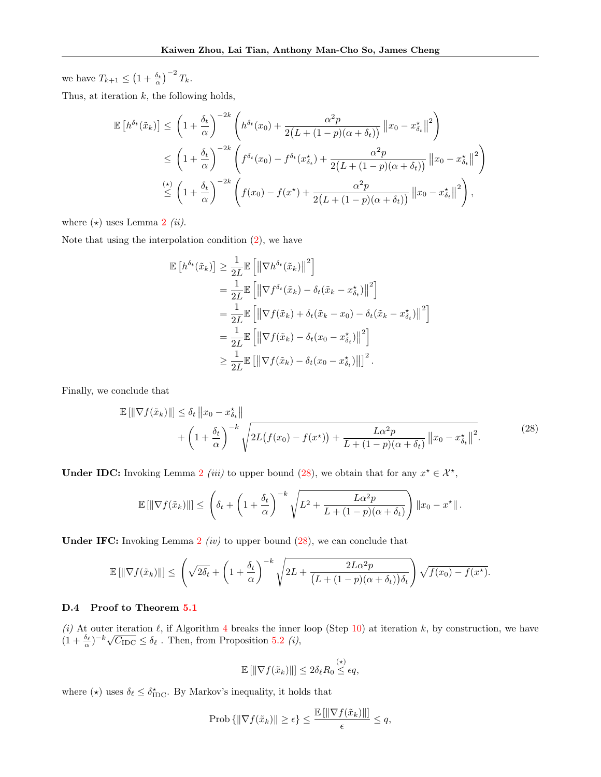we have  $T_{k+1} \leq (1 + \frac{\delta_t}{\alpha})^{-2} T_k$ .

Thus, at iteration  $k$ , the following holds,

$$
\mathbb{E}\left[h^{\delta_t}(\tilde{x}_k)\right] \leq \left(1 + \frac{\delta_t}{\alpha}\right)^{-2k} \left(h^{\delta_t}(x_0) + \frac{\alpha^2 p}{2(L + (1 - p)(\alpha + \delta_t))} ||x_0 - x_{\delta_t}^*||^2\right)
$$
  
\n
$$
\leq \left(1 + \frac{\delta_t}{\alpha}\right)^{-2k} \left(f^{\delta_t}(x_0) - f^{\delta_t}(x_{\delta_t}^*) + \frac{\alpha^2 p}{2(L + (1 - p)(\alpha + \delta_t))} ||x_0 - x_{\delta_t}^*||^2\right)
$$
  
\n
$$
\stackrel{\text{(*)}{\leq}}{\leq} \left(1 + \frac{\delta_t}{\alpha}\right)^{-2k} \left(f(x_0) - f(x^*) + \frac{\alpha^2 p}{2(L + (1 - p)(\alpha + \delta_t))} ||x_0 - x_{\delta_t}^*||^2\right),
$$

where  $(\star)$  uses Lemma [2](#page-19-2)  $(ii).$ 

Note that using the interpolation condition  $(2)$ , we have

$$
\mathbb{E}\left[h^{\delta_t}(\tilde{x}_k)\right] \geq \frac{1}{2L} \mathbb{E}\left[\left\|\nabla h^{\delta_t}(\tilde{x}_k)\right\|^2\right] \n= \frac{1}{2L} \mathbb{E}\left[\left\|\nabla f^{\delta_t}(\tilde{x}_k) - \delta_t(\tilde{x}_k - x_{\delta_t}^*)\right\|^2\right] \n= \frac{1}{2L} \mathbb{E}\left[\left\|\nabla f(\tilde{x}_k) + \delta_t(\tilde{x}_k - x_0) - \delta_t(\tilde{x}_k - x_{\delta_t}^*)\right\|^2\right] \n= \frac{1}{2L} \mathbb{E}\left[\left\|\nabla f(\tilde{x}_k) - \delta_t(x_0 - x_{\delta_t}^*)\right\|^2\right] \n\geq \frac{1}{2L} \mathbb{E}\left[\left\|\nabla f(\tilde{x}_k) - \delta_t(x_0 - x_{\delta_t}^*)\right\|\right]^2.
$$

Finally, we conclude that

<span id="page-22-0"></span>
$$
\mathbb{E}\left[\|\nabla f(\tilde{x}_k)\|\right] \leq \delta_t \left\|x_0 - x_{\delta_t}^*\right\| + \left(1 + \frac{\delta_t}{\alpha}\right)^{-k} \sqrt{2L\big(f(x_0) - f(x^\star)\big) + \frac{L\alpha^2 p}{L + (1 - p)(\alpha + \delta_t)}\left\|x_0 - x_{\delta_t}^*\right\|^2}.
$$
\n(28)

**Under IDC:** Invoking Lemma [2](#page-19-2) *(iii)* to upper bound [\(28\)](#page-22-0), we obtain that for any  $x^* \in \mathcal{X}^*$ ,

$$
\mathbb{E}[\|\nabla f(\tilde{x}_k)\|] \leq \left(\delta_t + \left(1 + \frac{\delta_t}{\alpha}\right)^{-k} \sqrt{L^2 + \frac{L\alpha^2 p}{L + (1 - p)(\alpha + \delta_t)}}\right) \|x_0 - x^\star\|.
$$

**Under IFC:** Invoking Lemma  $2$  (iv) to upper bound [\(28\)](#page-22-0), we can conclude that

$$
\mathbb{E}\left[\|\nabla f(\tilde{x}_k)\|\right] \leq \left(\sqrt{2\delta_t} + \left(1 + \frac{\delta_t}{\alpha}\right)^{-k} \sqrt{2L + \frac{2L\alpha^2 p}{\left(L + (1-p)(\alpha + \delta_t)\right)\delta_t}}\right) \sqrt{f(x_0) - f(x^*)}.
$$

# D.4 Proof to Theorem [5.1](#page-7-6)

(i) At outer iteration  $\ell$ , if Algorithm [4](#page-6-3) breaks the inner loop (Step [10\)](#page-6-3) at iteration k, by construction, we have (*i*) At outer iteration  $\ell$ , if Algorithm 4 breaks the limer  $(1 + \frac{\delta_{\ell}}{\alpha})^{-k} \sqrt{C_{\text{IDC}}} \leq \delta_{\ell}$ . Then, from Proposition [5.2](#page-7-5) *(i)*,

$$
\mathbb{E} \left[ \left\| \nabla f(\tilde{x}_k) \right\| \right] \leq 2 \delta_\ell R_0 \stackrel{(\star)}{\leq} \epsilon q,
$$

where  $(\star)$  uses  $\delta_{\ell} \leq \delta_{\text{IDC}}^{\star}$ . By Markov's inequality, it holds that

$$
\text{Prob}\left\{\|\nabla f(\tilde{x}_k)\| \ge \epsilon\right\} \le \frac{\mathbb{E}\left[\|\nabla f(\tilde{x}_k)\|\right]}{\epsilon} \le q,
$$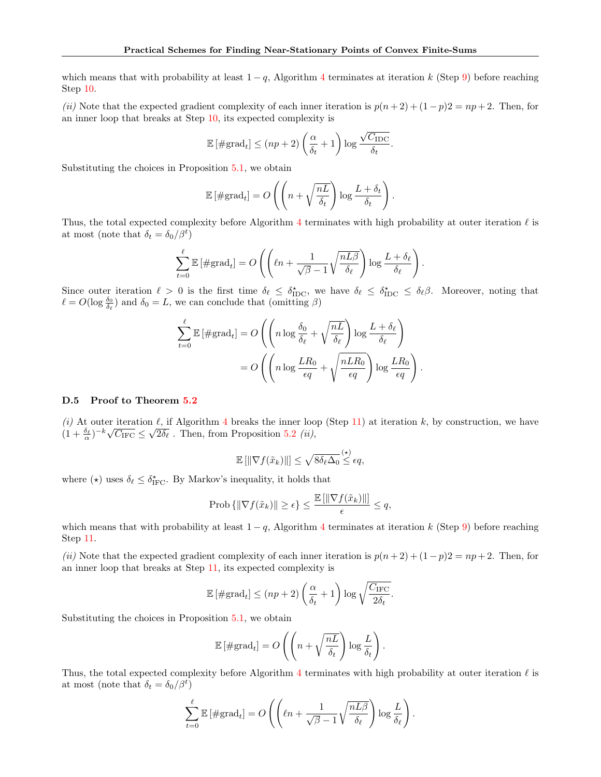which means that with probability at least  $1 - q$ , Algorithm [4](#page-6-3) terminates at iteration k (Step [9\)](#page-6-3) before reaching Step [10.](#page-6-3)

(ii) Note that the expected gradient complexity of each inner iteration is  $p(n+2) + (1-p)2 = np + 2$ . Then, for an inner loop that breaks at Step [10,](#page-6-3) its expected complexity is

$$
\mathbb{E} \left[ \# \text{grad}_t \right] \le (np + 2) \left( \frac{\alpha}{\delta_t} + 1 \right) \log \frac{\sqrt{C_{\text{IDC}}}}{\delta_t}.
$$

Substituting the choices in Proposition [5.1,](#page-7-0) we obtain

$$
\mathbb{E} \left[ \# \text{grad}_t \right] = O\left( \left( n + \sqrt{\frac{nL}{\delta_t}} \right) \log \frac{L + \delta_t}{\delta_t} \right).
$$

Thus, the total expected complexity before Algorithm [4](#page-6-3) terminates with high probability at outer iteration  $\ell$  is at most (note that  $\delta_t = \delta_0/\beta^t$ )

$$
\sum_{t=0}^{\ell} \mathbb{E} \left[ \# \text{grad}_t \right] = O\left( \left( \ell n + \frac{1}{\sqrt{\beta} - 1} \sqrt{\frac{nL\beta}{\delta_{\ell}}} \right) \log \frac{L + \delta_{\ell}}{\delta_{\ell}} \right).
$$

Since outer iteration  $\ell > 0$  is the first time  $\delta_{\ell} \leq \delta_{\text{IDC}}^*$ , we have  $\delta_{\ell} \leq \delta_{\text{IDC}} \leq \delta_{\ell} \beta$ . Moreover, noting that  $\ell = O(\log \frac{\delta_0}{\delta_{\ell}})$  and  $\delta_0 = L$ , we can conclude that (omitting  $\beta$ )

$$
\sum_{t=0}^{\ell} \mathbb{E} \left[ \# \text{grad}_t \right] = O\left( \left( n \log \frac{\delta_0}{\delta_{\ell}} + \sqrt{\frac{nL}{\delta_{\ell}}} \right) \log \frac{L + \delta_{\ell}}{\delta_{\ell}} \right)
$$

$$
= O\left( \left( n \log \frac{LR_0}{\epsilon q} + \sqrt{\frac{nLR_0}{\epsilon q}} \right) \log \frac{LR_0}{\epsilon q} \right).
$$

## D.5 Proof to Theorem [5.2](#page-7-7)

(i) At outer iteration  $\ell$ , if Algorithm [4](#page-6-3) breaks the inner loop (Step [11\)](#page-6-3) at iteration k, by construction, we have (*i*) At other iteration  $\ell$ , if Algorithm 4 breaks the liner look  $(1 + \frac{\delta_{\ell}}{\alpha})^{-k} \sqrt{C_{\text{IFC}}} \leq \sqrt{2\delta_{\ell}}$ . Then, from Proposition [5.2](#page-7-5) *(ii)*,

$$
\mathbb{E}[\|\nabla f(\tilde{x}_k)\|] \leq \sqrt{8\delta_\ell \Delta_0} \stackrel{(\star)}{\leq} \epsilon q,
$$

where  $(\star)$  uses  $\delta_{\ell} \leq \delta_{\text{IFC}}^{\star}$ . By Markov's inequality, it holds that

$$
\text{Prob}\left\{ \left\| \nabla f(\tilde{x}_k) \right\| \ge \epsilon \right\} \le \frac{\mathbb{E}\left[ \left\| \nabla f(\tilde{x}_k) \right\| \right]}{\epsilon} \le q,
$$

which means that with probability at least  $1 - q$ , Algorithm [4](#page-6-3) terminates at iteration k (Step [9\)](#page-6-3) before reaching Step [11.](#page-6-3)

(ii) Note that the expected gradient complexity of each inner iteration is  $p(n+2) + (1-p)2 = np + 2$ . Then, for an inner loop that breaks at Step [11,](#page-6-3) its expected complexity is

$$
\mathbb{E} \left[ \# \text{grad}_t \right] \le (np + 2) \left( \frac{\alpha}{\delta_t} + 1 \right) \log \sqrt{\frac{C_{\text{IFC}}}{2\delta_t}}.
$$

Substituting the choices in Proposition [5.1,](#page-7-0) we obtain

$$
\mathbb{E}\left[\#\text{grad}_t\right] = O\left(\left(n + \sqrt{\frac{nL}{\delta_t}}\right)\log\frac{L}{\delta_t}\right).
$$

Thus, the total expected complexity before Algorithm [4](#page-6-3) terminates with high probability at outer iteration  $\ell$  is at most (note that  $\delta_t = \delta_0/\beta^t$ )

$$
\sum_{t=0}^{\ell} \mathbb{E} \left[ \# \text{grad}_t \right] = O\left( \left( \ell n + \frac{1}{\sqrt{\beta} - 1} \sqrt{\frac{nL\beta}{\delta_{\ell}}} \right) \log \frac{L}{\delta_{\ell}} \right).
$$